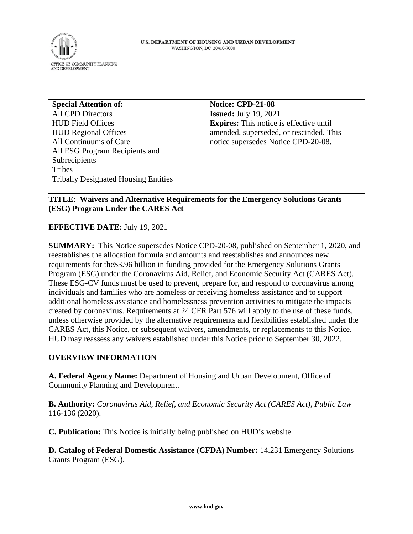

**Special Attention of:**  All CPD Directors HUD Field Offices HUD Regional Offices All Continuums of Care All ESG Program Recipients and Subrecipients Tribes Tribally Designated Housing Entities

**Notice: CPD-21-08 Issued:** July 19, 2021 **Expires:** This notice is effective until amended, superseded, or rescinded. This notice supersedes Notice CPD-20-08.

#### **TITLE**: **Waivers and Alternative Requirements for the Emergency Solutions Grants (ESG) Program Under the CARES Act**

**EFFECTIVE DATE:** July 19, 2021

**SUMMARY:** This Notice supersedes Notice CPD-20-08, published on September 1, 2020, and reestablishes the allocation formula and amounts and reestablishes and announces new requirements for the\$3.96 billion in funding provided for the Emergency Solutions Grants Program (ESG) under the Coronavirus Aid, Relief, and Economic Security Act (CARES Act). These ESG-CV funds must be used to prevent, prepare for, and respond to coronavirus among individuals and families who are homeless or receiving homeless assistance and to support additional homeless assistance and homelessness prevention activities to mitigate the impacts created by coronavirus. Requirements at 24 CFR Part 576 will apply to the use of these funds, unless otherwise provided by the alternative requirements and flexibilities established under the CARES Act, this Notice, or subsequent waivers, amendments, or replacements to this Notice. HUD may reassess any waivers established under this Notice prior to September 30, 2022.

#### **OVERVIEW INFORMATION**

**A. Federal Agency Name:** Department of Housing and Urban Development, Office of Community Planning and Development.

**B. Authority:** *Coronavirus Aid, Relief, and Economic Security Act (CARES Act), Public Law*  116-136 (2020).

**C. Publication:** This Notice is initially being published on HUD's website.

**D. Catalog of Federal Domestic Assistance (CFDA) Number:** 14.231 Emergency Solutions Grants Program (ESG).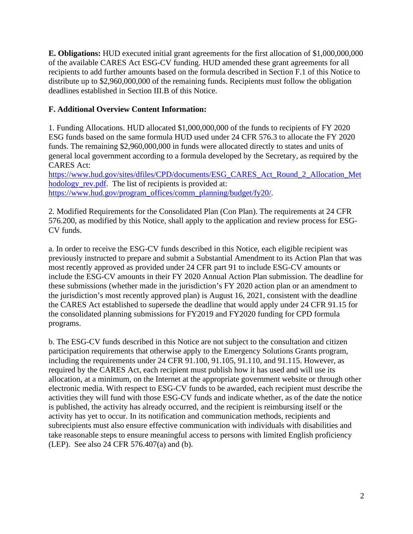**E. Obligations:** HUD executed initial grant agreements for the first allocation of \$1,000,000,000 of the available CARES Act ESG-CV funding. HUD amended these grant agreements for all recipients to add further amounts based on the formula described in Section F.1 of this Notice to distribute up to \$2,960,000,000 of the remaining funds. Recipients must follow the obligation deadlines established in Section III.B of this Notice.

### **F. Additional Overview Content Information:**

1. Funding Allocations. HUD allocated \$1,000,000,000 of the funds to recipients of FY 2020 ESG funds based on the same formula HUD used under 24 CFR 576.3 to allocate the FY 2020 funds. The remaining \$2,960,000,000 in funds were allocated directly to states and units of general local government according to a formula developed by the Secretary, as required by the CARES Act:

[https://www.hud.gov/sites/dfiles/CPD/documents/ESG\\_CARES\\_Act\\_Round\\_2\\_Allocation\\_Met](https://www.hud.gov/sites/dfiles/CPD/documents/ESG_CARES_Act_Round_2_Allocation_Methodology_rev.pdf) hodology rev.pdf. The list of recipients is provided at: [https://www.hud.gov/program\\_offices/comm\\_planning/budget/fy20/.](https://www.hud.gov/program_offices/comm_planning/budget/fy20/)

2. Modified Requirements for the Consolidated Plan (Con Plan). The requirements at 24 CFR 576.200, as modified by this Notice, shall apply to the application and review process for ESG-CV funds.

a. In order to receive the ESG-CV funds described in this Notice, each eligible recipient was previously instructed to prepare and submit a Substantial Amendment to its Action Plan that was most recently approved as provided under 24 CFR part 91 to include ESG-CV amounts or include the ESG-CV amounts in their FY 2020 Annual Action Plan submission. The deadline for these submissions (whether made in the jurisdiction's FY 2020 action plan or an amendment to the jurisdiction's most recently approved plan) is August 16, 2021, consistent with the deadline the CARES Act established to supersede the deadline that would apply under 24 CFR 91.15 for the consolidated planning submissions for FY2019 and FY2020 funding for CPD formula programs.

b. The ESG-CV funds described in this Notice are not subject to the consultation and citizen participation requirements that otherwise apply to the Emergency Solutions Grants program, including the requirements under 24 CFR 91.100, 91.105, 91.110, and 91.115. However, as required by the CARES Act, each recipient must publish how it has used and will use its allocation, at a minimum, on the Internet at the appropriate government website or through other electronic media. With respect to ESG-CV funds to be awarded, each recipient must describe the activities they will fund with those ESG-CV funds and indicate whether, as of the date the notice is published, the activity has already occurred, and the recipient is reimbursing itself or the activity has yet to occur. In its notification and communication methods, recipients and subrecipients must also ensure effective communication with individuals with disabilities and take reasonable steps to ensure meaningful access to persons with limited English proficiency (LEP). See also 24 CFR 576.407(a) and (b).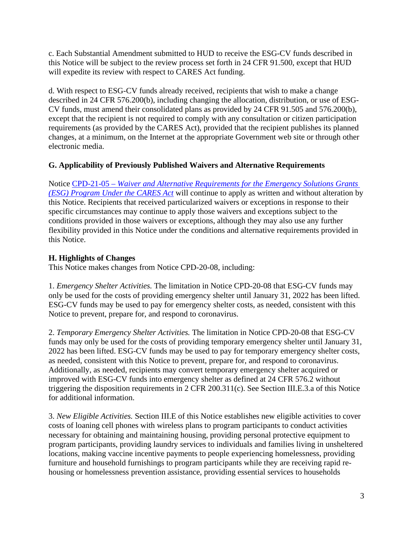c. Each Substantial Amendment submitted to HUD to receive the ESG-CV funds described in this Notice will be subject to the review process set forth in 24 CFR 91.500, except that HUD will expedite its review with respect to CARES Act funding.

d. With respect to ESG-CV funds already received, recipients that wish to make a change described in 24 CFR 576.200(b), including changing the allocation, distribution, or use of ESG-CV funds, must amend their consolidated plans as provided by 24 CFR 91.505 and 576.200(b), except that the recipient is not required to comply with any consultation or citizen participation requirements (as provided by the CARES Act), provided that the recipient publishes its planned changes, at a minimum, on the Internet at the appropriate Government web site or through other electronic media.

### **G. Applicability of Previously Published Waivers and Alternative Requirements**

Notice CPD-21-05 *[– Waiver and Alternative Requirements for the Emergency Solutions Grants](https://www.hud.gov/sites/dfiles/OCHCO/documents/2021-05cpdn.pdf)  [\(ESG\) Program Under the CARES Act](https://www.hud.gov/sites/dfiles/OCHCO/documents/2021-05cpdn.pdf)* will continue to apply as written and without alteration by this Notice. Recipients that received particularized waivers or exceptions in response to their specific circumstances may continue to apply those waivers and exceptions subject to the conditions provided in those waivers or exceptions, although they may also use any further flexibility provided in this Notice under the conditions and alternative requirements provided in this Notice.

### **H. Highlights of Changes**

This Notice makes changes from Notice CPD-20-08, including:

1. *Emergency Shelter Activities.* The limitation in Notice CPD-20-08 that ESG-CV funds may only be used for the costs of providing emergency shelter until January 31, 2022 has been lifted. ESG-CV funds may be used to pay for emergency shelter costs, as needed, consistent with this Notice to prevent, prepare for, and respond to coronavirus.

2. *Temporary Emergency Shelter Activities.* The limitation in Notice CPD-20-08 that ESG-CV funds may only be used for the costs of providing temporary emergency shelter until January 31, 2022 has been lifted. ESG-CV funds may be used to pay for temporary emergency shelter costs, as needed, consistent with this Notice to prevent, prepare for, and respond to coronavirus. Additionally, as needed, recipients may convert temporary emergency shelter acquired or improved with ESG-CV funds into emergency shelter as defined at 24 CFR 576.2 without triggering the disposition requirements in 2 CFR 200.311(c). See Section III.E.3.a of this Notice for additional information.

3. *New Eligible Activities.* Section III.E of this Notice establishes new eligible activities to cover costs of loaning cell phones with wireless plans to program participants to conduct activities necessary for obtaining and maintaining housing, providing personal protective equipment to program participants, providing laundry services to individuals and families living in unsheltered locations, making vaccine incentive payments to people experiencing homelessness, providing furniture and household furnishings to program participants while they are receiving rapid rehousing or homelessness prevention assistance, providing essential services to households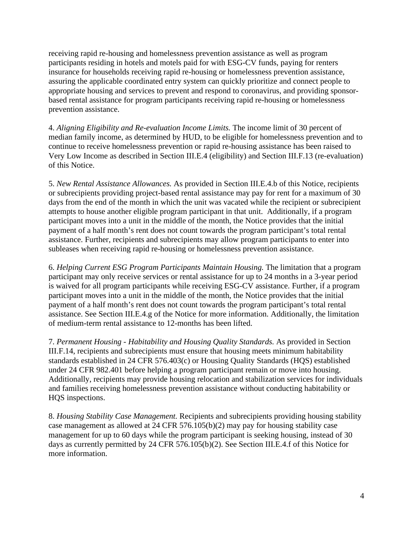receiving rapid re-housing and homelessness prevention assistance as well as program participants residing in hotels and motels paid for with ESG-CV funds, paying for renters insurance for households receiving rapid re-housing or homelessness prevention assistance, assuring the applicable coordinated entry system can quickly prioritize and connect people to appropriate housing and services to prevent and respond to coronavirus, and providing sponsorbased rental assistance for program participants receiving rapid re-housing or homelessness prevention assistance.

4. *Aligning Eligibility and Re-evaluation Income Limits.* The income limit of 30 percent of median family income, as determined by HUD, to be eligible for homelessness prevention and to continue to receive homelessness prevention or rapid re-housing assistance has been raised to Very Low Income as described in Section III.E.4 (eligibility) and Section III.F.13 (re-evaluation) of this Notice.

5. *New Rental Assistance Allowances.* As provided in Section III.E.4.b of this Notice, recipients or subrecipients providing project-based rental assistance may pay for rent for a maximum of 30 days from the end of the month in which the unit was vacated while the recipient or subrecipient attempts to house another eligible program participant in that unit. Additionally, if a program participant moves into a unit in the middle of the month, the Notice provides that the initial payment of a half month's rent does not count towards the program participant's total rental assistance. Further, recipients and subrecipients may allow program participants to enter into subleases when receiving rapid re-housing or homelessness prevention assistance.

6. *Helping Current ESG Program Participants Maintain Housing.* The limitation that a program participant may only receive services or rental assistance for up to 24 months in a 3-year period is waived for all program participants while receiving ESG-CV assistance. Further, if a program participant moves into a unit in the middle of the month, the Notice provides that the initial payment of a half month's rent does not count towards the program participant's total rental assistance. See Section III.E.4.g of the Notice for more information. Additionally, the limitation of medium-term rental assistance to 12-months has been lifted.

7. *Permanent Housing - Habitability and Housing Quality Standards.* As provided in Section III.F.14, recipients and subrecipients must ensure that housing meets minimum habitability standards established in 24 CFR 576.403(c) or Housing Quality Standards (HQS) established under 24 CFR 982.401 before helping a program participant remain or move into housing. Additionally, recipients may provide housing relocation and stabilization services for individuals and families receiving homelessness prevention assistance without conducting habitability or HQS inspections.

8. *Housing Stability Case Management.* Recipients and subrecipients providing housing stability case management as allowed at 24 CFR 576.105(b)(2) may pay for housing stability case management for up to 60 days while the program participant is seeking housing, instead of 30 days as currently permitted by 24 CFR 576.105(b)(2). See Section III.E.4.f of this Notice for more information.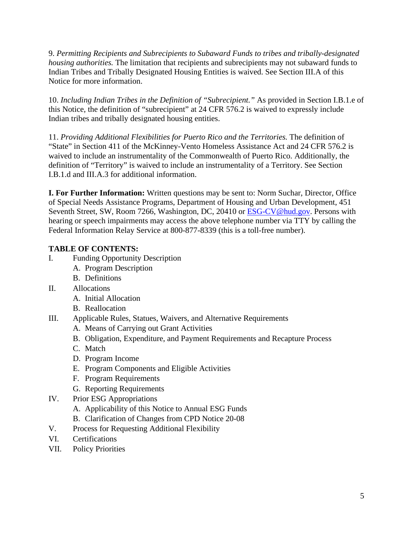9. *Permitting Recipients and Subrecipients to Subaward Funds to tribes and tribally-designated housing authorities.* The limitation that recipients and subrecipients may not subaward funds to Indian Tribes and Tribally Designated Housing Entities is waived. See Section III.A of this Notice for more information.

10. *Including Indian Tribes in the Definition of "Subrecipient."* As provided in Section I.B.1.e of this Notice, the definition of "subrecipient" at 24 CFR 576.2 is waived to expressly include Indian tribes and tribally designated housing entities.

11. *Providing Additional Flexibilities for Puerto Rico and the Territories.* The definition of "State" in Section 411 of the McKinney-Vento Homeless Assistance Act and 24 CFR 576.2 is waived to include an instrumentality of the Commonwealth of Puerto Rico. Additionally, the definition of "Territory" is waived to include an instrumentality of a Territory. See Section I.B.1.d and III.A.3 for additional information.

**I. For Further Information:** Written questions may be sent to: Norm Suchar, Director, Office of Special Needs Assistance Programs, Department of Housing and Urban Development, 451 Seventh Street, SW, Room 7266, Washington, DC, 20410 or [ESG-CV@hud.gov.](mailto:ESG-CV@hud.gov) Persons with hearing or speech impairments may access the above telephone number via TTY by calling the Federal Information Relay Service at 800-877-8339 (this is a toll-free number).

## **TABLE OF CONTENTS:**

- I. Funding Opportunity Description
	- A. Program Description
	- B. Definitions
- II. Allocations
	- A. Initial Allocation
	- B. Reallocation
- III. Applicable Rules, Statues, Waivers, and Alternative Requirements
	- A. Means of Carrying out Grant Activities
	- B. Obligation, Expenditure, and Payment Requirements and Recapture Process
	- C. Match
	- D. Program Income
	- E. Program Components and Eligible Activities
	- F. Program Requirements
	- G. Reporting Requirements
- IV. Prior ESG Appropriations
	- A. Applicability of this Notice to Annual ESG Funds
	- B. Clarification of Changes from CPD Notice 20-08
- V. Process for Requesting Additional Flexibility
- VI. Certifications
- VII. Policy Priorities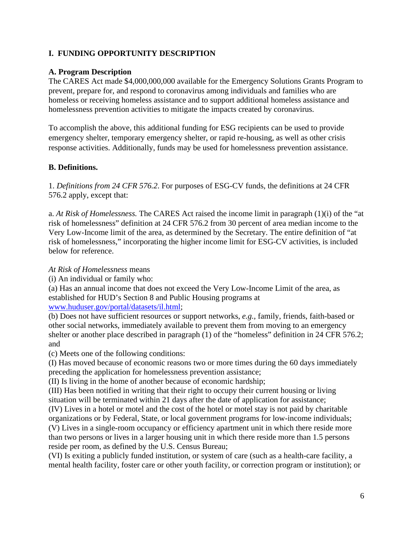### **I. FUNDING OPPORTUNITY DESCRIPTION**

#### **A. Program Description**

The CARES Act made \$4,000,000,000 available for the Emergency Solutions Grants Program to prevent, prepare for, and respond to coronavirus among individuals and families who are homeless or receiving homeless assistance and to support additional homeless assistance and homelessness prevention activities to mitigate the impacts created by coronavirus.

To accomplish the above, this additional funding for ESG recipients can be used to provide emergency shelter, temporary emergency shelter, or rapid re-housing, as well as other crisis response activities. Additionally, funds may be used for homelessness prevention assistance.

### **B. Definitions.**

1. *Definitions from 24 CFR 576.2*. For purposes of ESG-CV funds, the definitions at 24 CFR 576.2 apply, except that:

a. *At Risk of Homelessness.* The CARES Act raised the income limit in paragraph (1)(i) of the "at risk of homelessness" definition at 24 CFR 576.2 from 30 percent of area median income to the Very Low-Income limit of the area, as determined by the Secretary. The entire definition of "at risk of homelessness," incorporating the higher income limit for ESG-CV activities, is included below for reference.

*At Risk of Homelessness* means

(i) An individual or family who:

(a) Has an annual income that does not exceed the Very Low-Income Limit of the area, as established for HUD's Section 8 and Public Housing programs at [www.huduser.gov/portal/datasets/il.html;](http://www.huduser.gov/portal/datasets/il.html)

(b) Does not have sufficient resources or support networks, *e.g.,* family, friends, faith-based or other social networks, immediately available to prevent them from moving to an emergency shelter or another place described in paragraph (1) of the "homeless" definition in 24 CFR 576.2; and

(c) Meets one of the following conditions:

(I) Has moved because of economic reasons two or more times during the 60 days immediately preceding the application for homelessness prevention assistance;

(II) Is living in the home of another because of economic hardship;

(III) Has been notified in writing that their right to occupy their current housing or living situation will be terminated within 21 days after the date of application for assistance;

(IV) Lives in a hotel or motel and the cost of the hotel or motel stay is not paid by charitable organizations or by Federal, State, or local government programs for low-income individuals; (V) Lives in a single-room occupancy or efficiency apartment unit in which there reside more than two persons or lives in a larger housing unit in which there reside more than 1.5 persons reside per room, as defined by the U.S. Census Bureau;

(VI) Is exiting a publicly funded institution, or system of care (such as a health-care facility, a mental health facility, foster care or other youth facility, or correction program or institution); or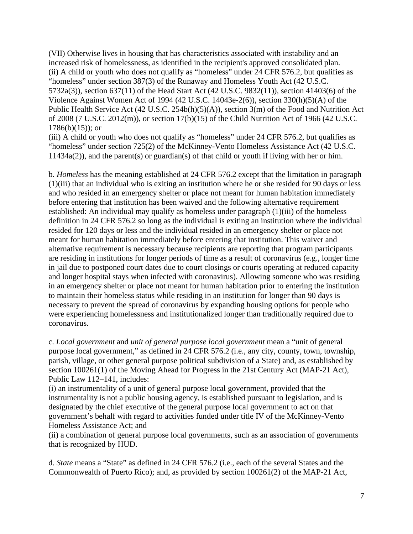(VII) Otherwise lives in housing that has characteristics associated with instability and an increased risk of homelessness, as identified in the recipient's approved consolidated plan. (ii) A child or youth who does not qualify as "homeless" under 24 CFR 576.2, but qualifies as "homeless" under section 387(3) of the Runaway and Homeless Youth Act (42 U.S.C. 5732a(3)), section 637(11) of the Head Start Act (42 U.S.C. 9832(11)), section 41403(6) of the Violence Against Women Act of 1994 (42 U.S.C. 14043e-2(6)), section 330(h)(5)(A) of the Public Health Service Act (42 U.S.C. 254b(h)(5)(A)), section 3(m) of the Food and Nutrition Act of 2008 (7 U.S.C. 2012(m)), or section 17(b)(15) of the Child Nutrition Act of 1966 (42 U.S.C.  $1786(b)(15)$ ; or

(iii) A child or youth who does not qualify as "homeless" under 24 CFR 576.2, but qualifies as "homeless" under section 725(2) of the McKinney-Vento Homeless Assistance Act (42 U.S.C. 11434a(2)), and the parent(s) or guardian(s) of that child or youth if living with her or him.

b. *Homeless* has the meaning established at 24 CFR 576.2 except that the limitation in paragraph (1)(iii) that an individual who is exiting an institution where he or she resided for 90 days or less and who resided in an emergency shelter or place not meant for human habitation immediately before entering that institution has been waived and the following alternative requirement established: An individual may qualify as homeless under paragraph (1)(iii) of the homeless definition in 24 CFR 576.2 so long as the individual is exiting an institution where the individual resided for 120 days or less and the individual resided in an emergency shelter or place not meant for human habitation immediately before entering that institution. This waiver and alternative requirement is necessary because recipients are reporting that program participants are residing in institutions for longer periods of time as a result of coronavirus (e.g., longer time in jail due to postponed court dates due to court closings or courts operating at reduced capacity and longer hospital stays when infected with coronavirus). Allowing someone who was residing in an emergency shelter or place not meant for human habitation prior to entering the institution to maintain their homeless status while residing in an institution for longer than 90 days is necessary to prevent the spread of coronavirus by expanding housing options for people who were experiencing homelessness and institutionalized longer than traditionally required due to coronavirus.

c. *Local government* and *unit of general purpose local government* mean a "unit of general purpose local government," as defined in 24 CFR 576.2 (i.e., any city, county, town, township, parish, village, or other general purpose political subdivision of a State) and, as established by section 100261(1) of the Moving Ahead for Progress in the 21st Century Act (MAP-21 Act), Public Law 112–141, includes:

(i) an instrumentality of a unit of general purpose local government, provided that the instrumentality is not a public housing agency, is established pursuant to legislation, and is designated by the chief executive of the general purpose local government to act on that government's behalf with regard to activities funded under title IV of the McKinney-Vento Homeless Assistance Act; and

(ii) a combination of general purpose local governments, such as an association of governments that is recognized by HUD.

d. *State* means a "State" as defined in 24 CFR 576.2 (i.e., each of the several States and the Commonwealth of Puerto Rico); and, as provided by section 100261(2) of the MAP-21 Act,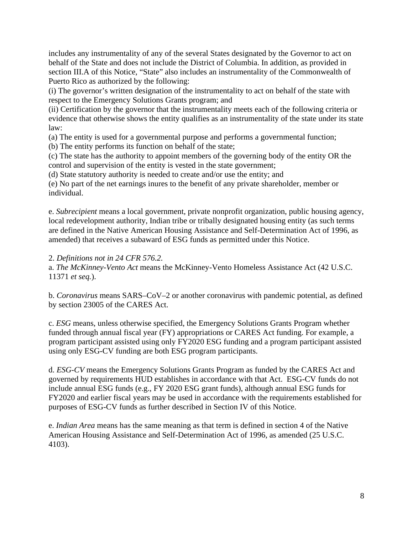includes any instrumentality of any of the several States designated by the Governor to act on behalf of the State and does not include the District of Columbia. In addition, as provided in section III.A of this Notice, "State" also includes an instrumentality of the Commonwealth of Puerto Rico as authorized by the following:

(i) The governor's written designation of the instrumentality to act on behalf of the state with respect to the Emergency Solutions Grants program; and

(ii) Certification by the governor that the instrumentality meets each of the following criteria or evidence that otherwise shows the entity qualifies as an instrumentality of the state under its state law:

(a) The entity is used for a governmental purpose and performs a governmental function;

(b) The entity performs its function on behalf of the state;

(c) The state has the authority to appoint members of the governing body of the entity OR the control and supervision of the entity is vested in the state government;

(d) State statutory authority is needed to create and/or use the entity; and

(e) No part of the net earnings inures to the benefit of any private shareholder, member or individual.

e. *Subrecipient* means a local government, private nonprofit organization, public housing agency, local redevelopment authority, Indian tribe or tribally designated housing entity (as such terms are defined in the Native American Housing Assistance and Self-Determination Act of 1996, as amended) that receives a subaward of ESG funds as permitted under this Notice.

2. *Definitions not in 24 CFR 576.2.* 

a. *The McKinney-Vento Act* means the McKinney-Vento Homeless Assistance Act (42 U.S.C. 11371 *et seq.*).

b. *Coronavirus* means SARS–CoV–2 or another coronavirus with pandemic potential, as defined by section 23005 of the CARES Act.

c. *ESG* means, unless otherwise specified, the Emergency Solutions Grants Program whether funded through annual fiscal year (FY) appropriations or CARES Act funding. For example, a program participant assisted using only FY2020 ESG funding and a program participant assisted using only ESG-CV funding are both ESG program participants.

d. *ESG-CV* means the Emergency Solutions Grants Program as funded by the CARES Act and governed by requirements HUD establishes in accordance with that Act. ESG-CV funds do not include annual ESG funds (e.g., FY 2020 ESG grant funds), although annual ESG funds for FY2020 and earlier fiscal years may be used in accordance with the requirements established for purposes of ESG-CV funds as further described in Section IV of this Notice.

e. *Indian Area* means has the same meaning as that term is defined in section 4 of the Native American Housing Assistance and Self-Determination Act of 1996, as amended (25 U.S.C. 4103).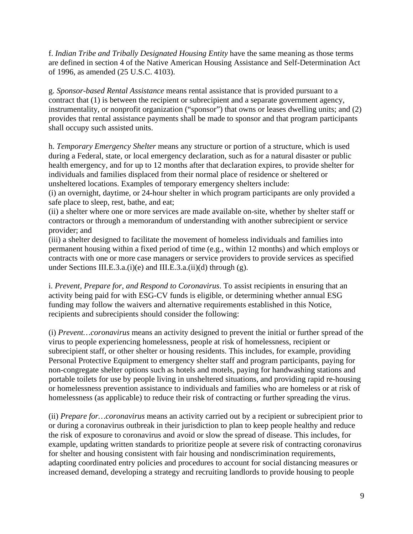f. *Indian Tribe and Tribally Designated Housing Entity* have the same meaning as those terms are defined in section 4 of the Native American Housing Assistance and Self-Determination Act of 1996, as amended (25 U.S.C. 4103).

g. *Sponsor-based Rental Assistance* means rental assistance that is provided pursuant to a contract that (1) is between the recipient or subrecipient and a separate government agency, instrumentality, or nonprofit organization ("sponsor") that owns or leases dwelling units; and (2) provides that rental assistance payments shall be made to sponsor and that program participants shall occupy such assisted units.

h. *Temporary Emergency Shelter* means any structure or portion of a structure, which is used during a Federal, state, or local emergency declaration, such as for a natural disaster or public health emergency, and for up to 12 months after that declaration expires, to provide shelter for individuals and families displaced from their normal place of residence or sheltered or unsheltered locations. Examples of temporary emergency shelters include:

(i) an overnight, daytime, or 24-hour shelter in which program participants are only provided a safe place to sleep, rest, bathe, and eat;

(ii) a shelter where one or more services are made available on-site, whether by shelter staff or contractors or through a memorandum of understanding with another subrecipient or service provider; and

(iii) a shelter designed to facilitate the movement of homeless individuals and families into permanent housing within a fixed period of time (e.g., within 12 months) and which employs or contracts with one or more case managers or service providers to provide services as specified under Sections III.E.3.a. $(i)(e)$  and III.E.3.a. $(ii)(d)$  through  $(g)$ .

i. *Prevent, Prepare for, and Respond to Coronavirus*. To assist recipients in ensuring that an activity being paid for with ESG-CV funds is eligible, or determining whether annual ESG funding may follow the waivers and alternative requirements established in this Notice, recipients and subrecipients should consider the following:

(i) *Prevent…coronavirus* means an activity designed to prevent the initial or further spread of the virus to people experiencing homelessness, people at risk of homelessness, recipient or subrecipient staff, or other shelter or housing residents. This includes, for example, providing Personal Protective Equipment to emergency shelter staff and program participants, paying for non-congregate shelter options such as hotels and motels, paying for handwashing stations and portable toilets for use by people living in unsheltered situations, and providing rapid re-housing or homelessness prevention assistance to individuals and families who are homeless or at risk of homelessness (as applicable) to reduce their risk of contracting or further spreading the virus.

(ii) *Prepare for…coronavirus* means an activity carried out by a recipient or subrecipient prior to or during a coronavirus outbreak in their jurisdiction to plan to keep people healthy and reduce the risk of exposure to coronavirus and avoid or slow the spread of disease. This includes, for example, updating written standards to prioritize people at severe risk of contracting coronavirus for shelter and housing consistent with fair housing and nondiscrimination requirements, adapting coordinated entry policies and procedures to account for social distancing measures or increased demand, developing a strategy and recruiting landlords to provide housing to people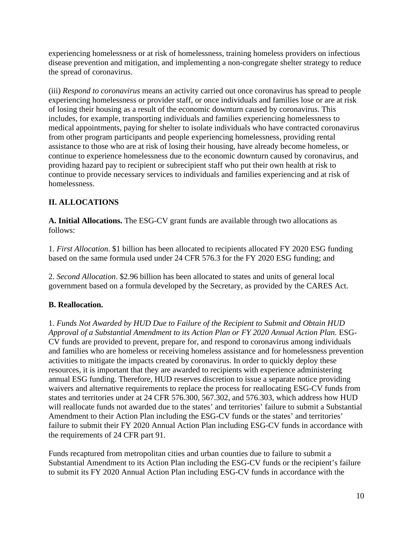experiencing homelessness or at risk of homelessness, training homeless providers on infectious disease prevention and mitigation, and implementing a non-congregate shelter strategy to reduce the spread of coronavirus.

(iii) *Respond to coronavirus* means an activity carried out once coronavirus has spread to people experiencing homelessness or provider staff, or once individuals and families lose or are at risk of losing their housing as a result of the economic downturn caused by coronavirus. This includes, for example, transporting individuals and families experiencing homelessness to medical appointments, paying for shelter to isolate individuals who have contracted coronavirus from other program participants and people experiencing homelessness, providing rental assistance to those who are at risk of losing their housing, have already become homeless, or continue to experience homelessness due to the economic downturn caused by coronavirus, and providing hazard pay to recipient or subrecipient staff who put their own health at risk to continue to provide necessary services to individuals and families experiencing and at risk of homelessness.

## **II. ALLOCATIONS**

**A. Initial Allocations.** The ESG-CV grant funds are available through two allocations as follows:

1. *First Allocation*. \$1 billion has been allocated to recipients allocated FY 2020 ESG funding based on the same formula used under 24 CFR 576.3 for the FY 2020 ESG funding; and

2. *Second Allocation*. \$2.96 billion has been allocated to states and units of general local government based on a formula developed by the Secretary, as provided by the CARES Act.

## **B. Reallocation.**

1. *Funds Not Awarded by HUD Due to Failure of the Recipient to Submit and Obtain HUD*  Approval of a Substantial Amendment to its Action Plan or FY 2020 Annual Action Plan. ESG-CV funds are provided to prevent, prepare for, and respond to coronavirus among individuals and families who are homeless or receiving homeless assistance and for homelessness prevention activities to mitigate the impacts created by coronavirus. In order to quickly deploy these resources, it is important that they are awarded to recipients with experience administering annual ESG funding. Therefore, HUD reserves discretion to issue a separate notice providing waivers and alternative requirements to replace the process for reallocating ESG-CV funds from states and territories under at 24 CFR 576.300, 567.302, and 576.303, which address how HUD will reallocate funds not awarded due to the states' and territories' failure to submit a Substantial Amendment to their Action Plan including the ESG-CV funds or the states' and territories' failure to submit their FY 2020 Annual Action Plan including ESG-CV funds in accordance with the requirements of 24 CFR part 91.

Funds recaptured from metropolitan cities and urban counties due to failure to submit a Substantial Amendment to its Action Plan including the ESG-CV funds or the recipient's failure to submit its FY 2020 Annual Action Plan including ESG-CV funds in accordance with the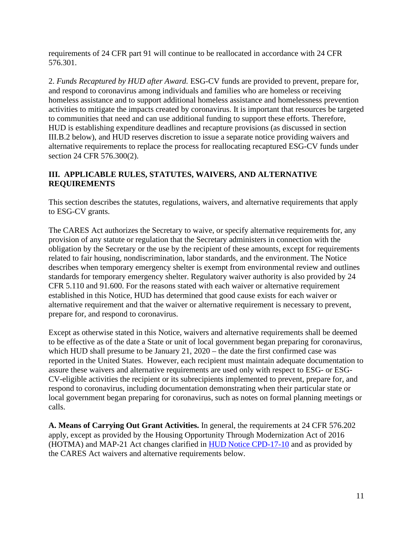requirements of 24 CFR part 91 will continue to be reallocated in accordance with 24 CFR 576.301.

2. *Funds Recaptured by HUD after Award.* ESG-CV funds are provided to prevent, prepare for, and respond to coronavirus among individuals and families who are homeless or receiving homeless assistance and to support additional homeless assistance and homelessness prevention activities to mitigate the impacts created by coronavirus. It is important that resources be targeted to communities that need and can use additional funding to support these efforts. Therefore, HUD is establishing expenditure deadlines and recapture provisions (as discussed in section III.B.2 below), and HUD reserves discretion to issue a separate notice providing waivers and alternative requirements to replace the process for reallocating recaptured ESG-CV funds under section 24 CFR 576.300(2).

### **III. APPLICABLE RULES, STATUTES, WAIVERS, AND ALTERNATIVE REQUIREMENTS**

This section describes the statutes, regulations, waivers, and alternative requirements that apply to ESG-CV grants.

The CARES Act authorizes the Secretary to waive, or specify alternative requirements for, any provision of any statute or regulation that the Secretary administers in connection with the obligation by the Secretary or the use by the recipient of these amounts, except for requirements related to fair housing, nondiscrimination, labor standards, and the environment. The Notice describes when temporary emergency shelter is exempt from environmental review and outlines standards for temporary emergency shelter. Regulatory waiver authority is also provided by 24 CFR 5.110 and 91.600. For the reasons stated with each waiver or alternative requirement established in this Notice, HUD has determined that good cause exists for each waiver or alternative requirement and that the waiver or alternative requirement is necessary to prevent, prepare for, and respond to coronavirus.

Except as otherwise stated in this Notice, waivers and alternative requirements shall be deemed to be effective as of the date a State or unit of local government began preparing for coronavirus, which HUD shall presume to be January 21, 2020 – the date the first confirmed case was reported in the United States. However, each recipient must maintain adequate documentation to assure these waivers and alternative requirements are used only with respect to ESG- or ESG-CV-eligible activities the recipient or its subrecipients implemented to prevent, prepare for, and respond to coronavirus, including documentation demonstrating when their particular state or local government began preparing for coronavirus, such as notes on formal planning meetings or calls.

**A. Means of Carrying Out Grant Activities.** In general, the requirements at 24 CFR 576.202 apply, except as provided by the Housing Opportunity Through Modernization Act of 2016 (HOTMA) and MAP-21 Act changes clarified in [HUD Notice CPD-17-10](https://www.hud.gov/sites/dfiles/OCHCO/documents/17-10cpdn.pdf) and as provided by the CARES Act waivers and alternative requirements below.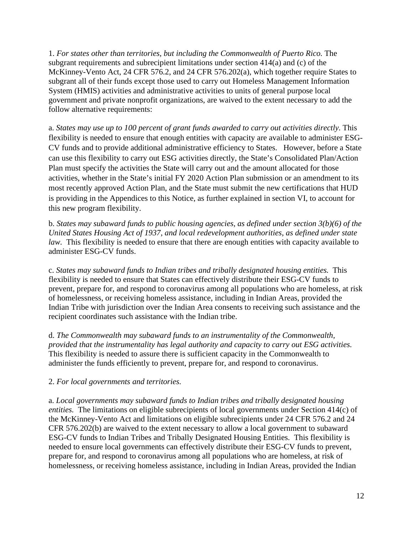1. *For states other than territories, but including the Commonwealth of Puerto Rico.* The subgrant requirements and subrecipient limitations under section 414(a) and (c) of the McKinney-Vento Act, 24 CFR 576.2, and 24 CFR 576.202(a), which together require States to subgrant all of their funds except those used to carry out Homeless Management Information System (HMIS) activities and administrative activities to units of general purpose local government and private nonprofit organizations, are waived to the extent necessary to add the follow alternative requirements:

a. *States may use up to 100 percent of grant funds awarded to carry out activities directly*. This flexibility is needed to ensure that enough entities with capacity are available to administer ESG-CV funds and to provide additional administrative efficiency to States. However, before a State can use this flexibility to carry out ESG activities directly, the State's Consolidated Plan/Action Plan must specify the activities the State will carry out and the amount allocated for those activities, whether in the State's initial FY 2020 Action Plan submission or an amendment to its most recently approved Action Plan, and the State must submit the new certifications that HUD is providing in the Appendices to this Notice, as further explained in section VI, to account for this new program flexibility.

b. *States may subaward funds to public housing agencies, as defined under section 3(b)(6) of the United States Housing Act of 1937, and local redevelopment authorities, as defined under state law.* This flexibility is needed to ensure that there are enough entities with capacity available to administer ESG-CV funds.

c. *States may subaward funds to Indian tribes and tribally designated housing entities.* This flexibility is needed to ensure that States can effectively distribute their ESG-CV funds to prevent, prepare for, and respond to coronavirus among all populations who are homeless, at risk of homelessness, or receiving homeless assistance, including in Indian Areas, provided the Indian Tribe with jurisdiction over the Indian Area consents to receiving such assistance and the recipient coordinates such assistance with the Indian tribe.

d. *The Commonwealth may subaward funds to an instrumentality of the Commonwealth, provided that the instrumentality has legal authority and capacity to carry out ESG activities*. This flexibility is needed to assure there is sufficient capacity in the Commonwealth to administer the funds efficiently to prevent, prepare for, and respond to coronavirus.

### 2. *For local governments and territories.*

a. *Local governments may subaward funds to Indian tribes and tribally designated housing entities.* The limitations on eligible subrecipients of local governments under Section 414(c) of the McKinney-Vento Act and limitations on eligible subrecipients under 24 CFR 576.2 and 24 CFR 576.202(b) are waived to the extent necessary to allow a local government to subaward ESG-CV funds to Indian Tribes and Tribally Designated Housing Entities. This flexibility is needed to ensure local governments can effectively distribute their ESG-CV funds to prevent, prepare for, and respond to coronavirus among all populations who are homeless, at risk of homelessness, or receiving homeless assistance, including in Indian Areas, provided the Indian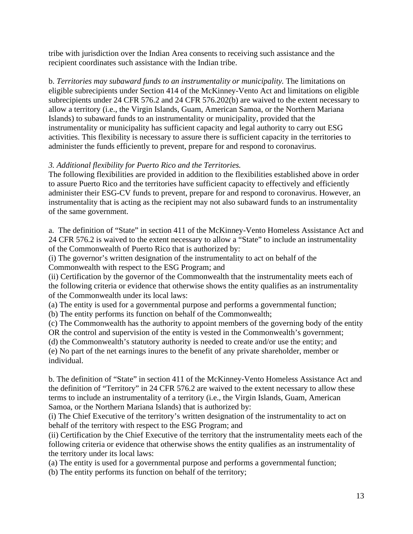tribe with jurisdiction over the Indian Area consents to receiving such assistance and the recipient coordinates such assistance with the Indian tribe.

b. *Territories may subaward funds to an instrumentality or municipality.* The limitations on eligible subrecipients under Section 414 of the McKinney-Vento Act and limitations on eligible subrecipients under 24 CFR 576.2 and 24 CFR 576.202(b) are waived to the extent necessary to allow a territory (i.e., the Virgin Islands, Guam, American Samoa, or the Northern Mariana Islands) to subaward funds to an instrumentality or municipality, provided that the instrumentality or municipality has sufficient capacity and legal authority to carry out ESG activities. This flexibility is necessary to assure there is sufficient capacity in the territories to administer the funds efficiently to prevent, prepare for and respond to coronavirus.

### *3. Additional flexibility for Puerto Rico and the Territories.*

The following flexibilities are provided in addition to the flexibilities established above in order to assure Puerto Rico and the territories have sufficient capacity to effectively and efficiently administer their ESG-CV funds to prevent, prepare for and respond to coronavirus. However, an instrumentality that is acting as the recipient may not also subaward funds to an instrumentality of the same government.

a. The definition of "State" in section 411 of the McKinney-Vento Homeless Assistance Act and 24 CFR 576.2 is waived to the extent necessary to allow a "State" to include an instrumentality of the Commonwealth of Puerto Rico that is authorized by:

(i) The governor's written designation of the instrumentality to act on behalf of the Commonwealth with respect to the ESG Program; and

(ii) Certification by the governor of the Commonwealth that the instrumentality meets each of the following criteria or evidence that otherwise shows the entity qualifies as an instrumentality of the Commonwealth under its local laws:

(a) The entity is used for a governmental purpose and performs a governmental function;

(b) The entity performs its function on behalf of the Commonwealth;

(c) The Commonwealth has the authority to appoint members of the governing body of the entity OR the control and supervision of the entity is vested in the Commonwealth's government;

(d) the Commonwealth's statutory authority is needed to create and/or use the entity; and (e) No part of the net earnings inures to the benefit of any private shareholder, member or individual.

b. The definition of "State" in section 411 of the McKinney-Vento Homeless Assistance Act and the definition of "Territory" in 24 CFR 576.2 are waived to the extent necessary to allow these terms to include an instrumentality of a territory (i.e., the Virgin Islands, Guam, American Samoa, or the Northern Mariana Islands) that is authorized by:

(i) The Chief Executive of the territory's written designation of the instrumentality to act on behalf of the territory with respect to the ESG Program; and

(ii) Certification by the Chief Executive of the territory that the instrumentality meets each of the following criteria or evidence that otherwise shows the entity qualifies as an instrumentality of the territory under its local laws:

(a) The entity is used for a governmental purpose and performs a governmental function;

(b) The entity performs its function on behalf of the territory;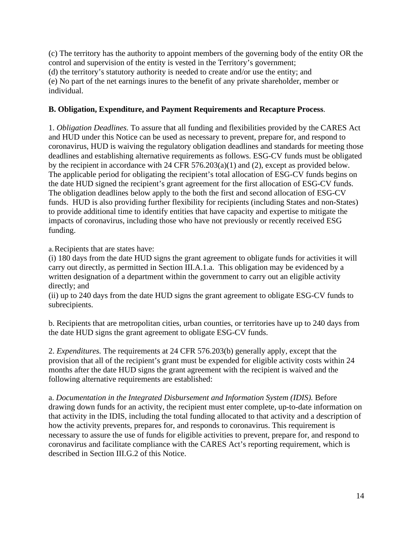(c) The territory has the authority to appoint members of the governing body of the entity OR the control and supervision of the entity is vested in the Territory's government; (d) the territory's statutory authority is needed to create and/or use the entity; and (e) No part of the net earnings inures to the benefit of any private shareholder, member or individual.

### **B. Obligation, Expenditure, and Payment Requirements and Recapture Process**.

1. *Obligation Deadlines.* To assure that all funding and flexibilities provided by the CARES Act and HUD under this Notice can be used as necessary to prevent, prepare for, and respond to coronavirus, HUD is waiving the regulatory obligation deadlines and standards for meeting those deadlines and establishing alternative requirements as follows. ESG-CV funds must be obligated by the recipient in accordance with 24 CFR 576.203(a)(1) and (2), except as provided below. The applicable period for obligating the recipient's total allocation of ESG-CV funds begins on the date HUD signed the recipient's grant agreement for the first allocation of ESG-CV funds. The obligation deadlines below apply to the both the first and second allocation of ESG-CV funds. HUD is also providing further flexibility for recipients (including States and non-States) to provide additional time to identify entities that have capacity and expertise to mitigate the impacts of coronavirus, including those who have not previously or recently received ESG funding.

a.Recipients that are states have:

(i) 180 days from the date HUD signs the grant agreement to obligate funds for activities it will carry out directly, as permitted in Section III.A.1.a. This obligation may be evidenced by a written designation of a department within the government to carry out an eligible activity directly; and

(ii) up to 240 days from the date HUD signs the grant agreement to obligate ESG-CV funds to subrecipients.

b. Recipients that are metropolitan cities, urban counties, or territories have up to 240 days from the date HUD signs the grant agreement to obligate ESG-CV funds.

2. *Expenditures.* The requirements at 24 CFR 576.203(b) generally apply, except that the provision that all of the recipient's grant must be expended for eligible activity costs within 24 months after the date HUD signs the grant agreement with the recipient is waived and the following alternative requirements are established:

a. *Documentation in the Integrated Disbursement and Information System (IDIS).* Before drawing down funds for an activity, the recipient must enter complete, up-to-date information on that activity in the IDIS, including the total funding allocated to that activity and a description of how the activity prevents, prepares for, and responds to coronavirus. This requirement is necessary to assure the use of funds for eligible activities to prevent, prepare for, and respond to coronavirus and facilitate compliance with the CARES Act's reporting requirement, which is described in Section III.G.2 of this Notice.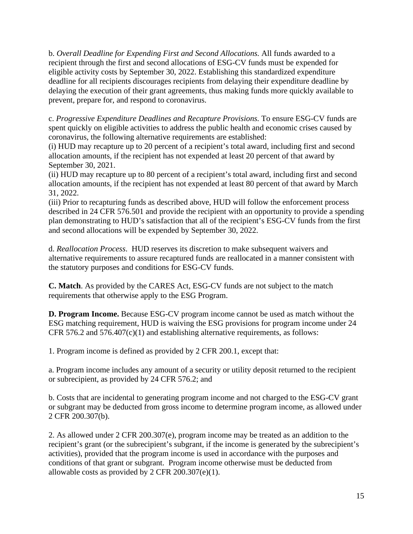b. *Overall Deadline for Expending First and Second Allocations.* All funds awarded to a recipient through the first and second allocations of ESG-CV funds must be expended for eligible activity costs by September 30, 2022. Establishing this standardized expenditure deadline for all recipients discourages recipients from delaying their expenditure deadline by delaying the execution of their grant agreements, thus making funds more quickly available to prevent, prepare for, and respond to coronavirus.

c. *Progressive Expenditure Deadlines and Recapture Provisions.* To ensure ESG-CV funds are spent quickly on eligible activities to address the public health and economic crises caused by coronavirus, the following alternative requirements are established:

(i) HUD may recapture up to 20 percent of a recipient's total award, including first and second allocation amounts, if the recipient has not expended at least 20 percent of that award by September 30, 2021.

(ii) HUD may recapture up to 80 percent of a recipient's total award, including first and second allocation amounts, if the recipient has not expended at least 80 percent of that award by March 31, 2022.

(iii) Prior to recapturing funds as described above, HUD will follow the enforcement process described in 24 CFR 576.501 and provide the recipient with an opportunity to provide a spending plan demonstrating to HUD's satisfaction that all of the recipient's ESG-CV funds from the first and second allocations will be expended by September 30, 2022.

d. *Reallocation Process*. HUD reserves its discretion to make subsequent waivers and alternative requirements to assure recaptured funds are reallocated in a manner consistent with the statutory purposes and conditions for ESG-CV funds.

**C. Match**. As provided by the CARES Act, ESG-CV funds are not subject to the match requirements that otherwise apply to the ESG Program.

**D. Program Income.** Because ESG-CV program income cannot be used as match without the ESG matching requirement, HUD is waiving the ESG provisions for program income under 24 CFR 576.2 and 576.407 $(c)(1)$  and establishing alternative requirements, as follows:

1. Program income is defined as provided by 2 CFR 200.1, except that:

a. Program income includes any amount of a security or utility deposit returned to the recipient or subrecipient, as provided by 24 CFR 576.2; and

b. Costs that are incidental to generating program income and not charged to the ESG-CV grant or subgrant may be deducted from gross income to determine program income, as allowed under 2 CFR 200.307(b).

2. As allowed under 2 CFR 200.307(e), program income may be treated as an addition to the recipient's grant (or the subrecipient's subgrant, if the income is generated by the subrecipient's activities), provided that the program income is used in accordance with the purposes and conditions of that grant or subgrant. Program income otherwise must be deducted from allowable costs as provided by 2 CFR 200.307(e)(1).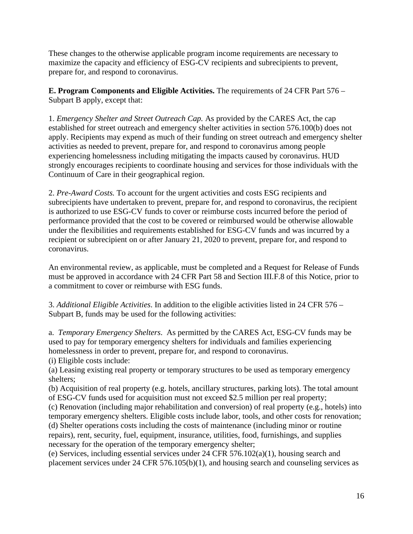These changes to the otherwise applicable program income requirements are necessary to maximize the capacity and efficiency of ESG-CV recipients and subrecipients to prevent, prepare for, and respond to coronavirus.

**E. Program Components and Eligible Activities.** The requirements of 24 CFR Part 576 – Subpart B apply, except that:

1. *Emergency Shelter and Street Outreach Cap.* As provided by the CARES Act, the cap established for street outreach and emergency shelter activities in section 576.100(b) does not apply. Recipients may expend as much of their funding on street outreach and emergency shelter activities as needed to prevent, prepare for, and respond to coronavirus among people experiencing homelessness including mitigating the impacts caused by coronavirus. HUD strongly encourages recipients to coordinate housing and services for those individuals with the Continuum of Care in their geographical region.

2. *Pre-Award Costs.* To account for the urgent activities and costs ESG recipients and subrecipients have undertaken to prevent, prepare for, and respond to coronavirus, the recipient is authorized to use ESG-CV funds to cover or reimburse costs incurred before the period of performance provided that the cost to be covered or reimbursed would be otherwise allowable under the flexibilities and requirements established for ESG-CV funds and was incurred by a recipient or subrecipient on or after January 21, 2020 to prevent, prepare for, and respond to coronavirus.

An environmental review, as applicable, must be completed and a Request for Release of Funds must be approved in accordance with 24 CFR Part 58 and Section III.F.8 of this Notice, prior to a commitment to cover or reimburse with ESG funds.

3. *Additional Eligible Activities*. In addition to the eligible activities listed in 24 CFR 576 – Subpart B, funds may be used for the following activities:

a. *Temporary Emergency Shelters*. As permitted by the CARES Act, ESG-CV funds may be used to pay for temporary emergency shelters for individuals and families experiencing homelessness in order to prevent, prepare for, and respond to coronavirus.

(i) Eligible costs include:

(a) Leasing existing real property or temporary structures to be used as temporary emergency shelters;

(b) Acquisition of real property (e.g. hotels, ancillary structures, parking lots). The total amount of ESG-CV funds used for acquisition must not exceed \$2.5 million per real property;

(c) Renovation (including major rehabilitation and conversion) of real property (e.g., hotels) into temporary emergency shelters. Eligible costs include labor, tools, and other costs for renovation; (d) Shelter operations costs including the costs of maintenance (including minor or routine repairs), rent, security, fuel, equipment, insurance, utilities, food, furnishings, and supplies necessary for the operation of the temporary emergency shelter;

(e) Services, including essential services under 24 CFR 576.102(a)(1), housing search and placement services under 24 CFR 576.105(b)(1), and housing search and counseling services as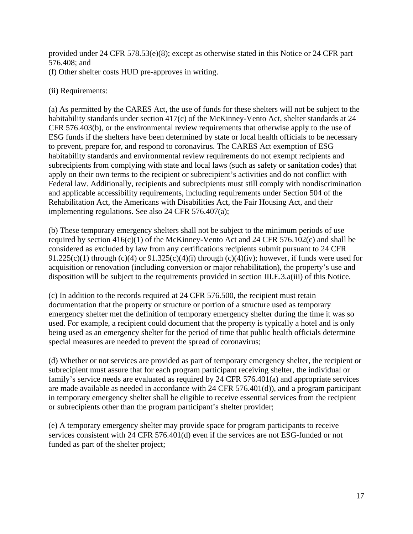provided under 24 CFR 578.53(e)(8); except as otherwise stated in this Notice or 24 CFR part 576.408; and (f) Other shelter costs HUD pre-approves in writing.

#### (ii) Requirements:

(a) As permitted by the CARES Act, the use of funds for these shelters will not be subject to the habitability standards under section 417(c) of the McKinney-Vento Act, shelter standards at 24 CFR 576.403(b), or the environmental review requirements that otherwise apply to the use of ESG funds if the shelters have been determined by state or local health officials to be necessary to prevent, prepare for, and respond to coronavirus. The CARES Act exemption of ESG habitability standards and environmental review requirements do not exempt recipients and subrecipients from complying with state and local laws (such as safety or sanitation codes) that apply on their own terms to the recipient or subrecipient's activities and do not conflict with Federal law. Additionally, recipients and subrecipients must still comply with nondiscrimination and applicable accessibility requirements, including requirements under Section 504 of the Rehabilitation Act, the Americans with Disabilities Act, the Fair Housing Act, and their implementing regulations. See also 24 CFR 576.407(a);

(b) These temporary emergency shelters shall not be subject to the minimum periods of use required by section 416(c)(1) of the McKinney-Vento Act and 24 CFR 576.102(c) and shall be considered as excluded by law from any certifications recipients submit pursuant to 24 CFR 91.225(c)(1) through (c)(4) or 91.325(c)(4)(i) through (c)(4)(iv); however, if funds were used for acquisition or renovation (including conversion or major rehabilitation), the property's use and disposition will be subject to the requirements provided in section III.E.3.a(iii) of this Notice.

(c) In addition to the records required at 24 CFR 576.500, the recipient must retain documentation that the property or structure or portion of a structure used as temporary emergency shelter met the definition of temporary emergency shelter during the time it was so used. For example, a recipient could document that the property is typically a hotel and is only being used as an emergency shelter for the period of time that public health officials determine special measures are needed to prevent the spread of coronavirus;

(d) Whether or not services are provided as part of temporary emergency shelter, the recipient or subrecipient must assure that for each program participant receiving shelter, the individual or family's service needs are evaluated as required by 24 CFR 576,401(a) and appropriate services are made available as needed in accordance with 24 CFR 576.401(d)), and a program participant in temporary emergency shelter shall be eligible to receive essential services from the recipient or subrecipients other than the program participant's shelter provider;

(e) A temporary emergency shelter may provide space for program participants to receive services consistent with 24 CFR 576.401(d) even if the services are not ESG-funded or not funded as part of the shelter project;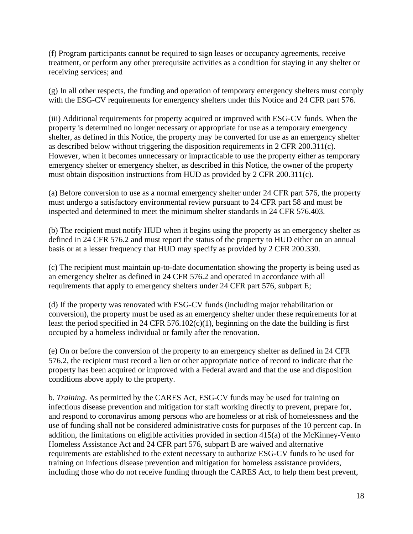(f) Program participants cannot be required to sign leases or occupancy agreements, receive treatment, or perform any other prerequisite activities as a condition for staying in any shelter or receiving services; and

(g) In all other respects, the funding and operation of temporary emergency shelters must comply with the ESG-CV requirements for emergency shelters under this Notice and 24 CFR part 576.

(iii) Additional requirements for property acquired or improved with ESG-CV funds. When the property is determined no longer necessary or appropriate for use as a temporary emergency shelter, as defined in this Notice, the property may be converted for use as an emergency shelter as described below without triggering the disposition requirements in 2 CFR 200.311(c). However, when it becomes unnecessary or impracticable to use the property either as temporary emergency shelter or emergency shelter, as described in this Notice, the owner of the property must obtain disposition instructions from HUD as provided by 2 CFR 200.311(c).

(a) Before conversion to use as a normal emergency shelter under 24 CFR part 576, the property must undergo a satisfactory environmental review pursuant to 24 CFR part 58 and must be inspected and determined to meet the minimum shelter standards in 24 CFR 576.403.

(b) The recipient must notify HUD when it begins using the property as an emergency shelter as defined in 24 CFR 576.2 and must report the status of the property to HUD either on an annual basis or at a lesser frequency that HUD may specify as provided by 2 CFR 200.330.

(c) The recipient must maintain up-to-date documentation showing the property is being used as an emergency shelter as defined in 24 CFR 576.2 and operated in accordance with all requirements that apply to emergency shelters under 24 CFR part 576, subpart E;

(d) If the property was renovated with ESG-CV funds (including major rehabilitation or conversion), the property must be used as an emergency shelter under these requirements for at least the period specified in 24 CFR 576.102 $(c)(1)$ , beginning on the date the building is first occupied by a homeless individual or family after the renovation.

(e) On or before the conversion of the property to an emergency shelter as defined in 24 CFR 576.2, the recipient must record a lien or other appropriate notice of record to indicate that the property has been acquired or improved with a Federal award and that the use and disposition conditions above apply to the property.

b. *Training*. As permitted by the CARES Act, ESG-CV funds may be used for training on infectious disease prevention and mitigation for staff working directly to prevent, prepare for, and respond to coronavirus among persons who are homeless or at risk of homelessness and the use of funding shall not be considered administrative costs for purposes of the 10 percent cap. In addition, the limitations on eligible activities provided in section 415(a) of the McKinney-Vento Homeless Assistance Act and 24 CFR part 576, subpart B are waived and alternative requirements are established to the extent necessary to authorize ESG-CV funds to be used for training on infectious disease prevention and mitigation for homeless assistance providers, including those who do not receive funding through the CARES Act, to help them best prevent,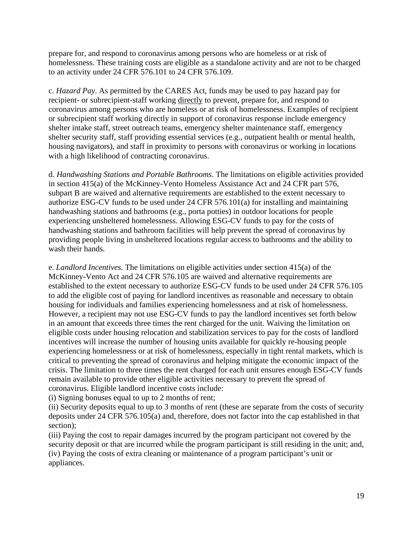prepare for, and respond to coronavirus among persons who are homeless or at risk of homelessness. These training costs are eligible as a standalone activity and are not to be charged to an activity under 24 CFR 576.101 to 24 CFR 576.109.

c. *Hazard Pay*. As permitted by the CARES Act, funds may be used to pay hazard pay for recipient- or subrecipient-staff working directly to prevent, prepare for, and respond to coronavirus among persons who are homeless or at risk of homelessness. Examples of recipient or subrecipient staff working directly in support of coronavirus response include emergency shelter intake staff, street outreach teams, emergency shelter maintenance staff, emergency shelter security staff, staff providing essential services (e.g., outpatient health or mental health, housing navigators), and staff in proximity to persons with coronavirus or working in locations with a high likelihood of contracting coronavirus.

d. *Handwashing Stations and Portable Bathrooms*. The limitations on eligible activities provided in section 415(a) of the McKinney-Vento Homeless Assistance Act and 24 CFR part 576, subpart B are waived and alternative requirements are established to the extent necessary to authorize ESG-CV funds to be used under 24 CFR 576.101(a) for installing and maintaining handwashing stations and bathrooms (e.g., porta potties) in outdoor locations for people experiencing unsheltered homelessness. Allowing ESG-CV funds to pay for the costs of handwashing stations and bathroom facilities will help prevent the spread of coronavirus by providing people living in unsheltered locations regular access to bathrooms and the ability to wash their hands.

e. *Landlord Incentives*. The limitations on eligible activities under section 415(a) of the McKinney-Vento Act and 24 CFR 576.105 are waived and alternative requirements are established to the extent necessary to authorize ESG-CV funds to be used under 24 CFR 576.105 to add the eligible cost of paying for landlord incentives as reasonable and necessary to obtain housing for individuals and families experiencing homelessness and at risk of homelessness. However, a recipient may not use ESG-CV funds to pay the landlord incentives set forth below in an amount that exceeds three times the rent charged for the unit. Waiving the limitation on eligible costs under housing relocation and stabilization services to pay for the costs of landlord incentives will increase the number of housing units available for quickly re-housing people experiencing homelessness or at risk of homelessness, especially in tight rental markets, which is critical to preventing the spread of coronavirus and helping mitigate the economic impact of the crisis. The limitation to three times the rent charged for each unit ensures enough ESG-CV funds remain available to provide other eligible activities necessary to prevent the spread of coronavirus. Eligible landlord incentive costs include:

(i) Signing bonuses equal to up to 2 months of rent;

(ii) Security deposits equal to up to 3 months of rent (these are separate from the costs of security deposits under 24 CFR 576.105(a) and, therefore, does not factor into the cap established in that section);

(iii) Paying the cost to repair damages incurred by the program participant not covered by the security deposit or that are incurred while the program participant is still residing in the unit; and, (iv) Paying the costs of extra cleaning or maintenance of a program participant's unit or appliances.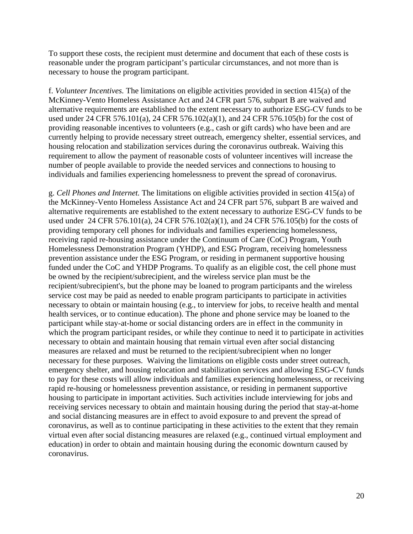To support these costs, the recipient must determine and document that each of these costs is reasonable under the program participant's particular circumstances, and not more than is necessary to house the program participant.

f. *Volunteer Incentives.* The limitations on eligible activities provided in section 415(a) of the McKinney-Vento Homeless Assistance Act and 24 CFR part 576, subpart B are waived and alternative requirements are established to the extent necessary to authorize ESG-CV funds to be used under 24 CFR 576.101(a), 24 CFR 576.102(a)(1), and 24 CFR 576.105(b) for the cost of providing reasonable incentives to volunteers (e.g., cash or gift cards) who have been and are currently helping to provide necessary street outreach, emergency shelter, essential services, and housing relocation and stabilization services during the coronavirus outbreak. Waiving this requirement to allow the payment of reasonable costs of volunteer incentives will increase the number of people available to provide the needed services and connections to housing to individuals and families experiencing homelessness to prevent the spread of coronavirus.

g. *Cell Phones and Internet.* The limitations on eligible activities provided in section 415(a) of the McKinney-Vento Homeless Assistance Act and 24 CFR part 576, subpart B are waived and alternative requirements are established to the extent necessary to authorize ESG-CV funds to be used under  $24$  CFR 576.101(a), 24 CFR 576.102(a)(1), and 24 CFR 576.105(b) for the costs of providing temporary cell phones for individuals and families experiencing homelessness, receiving rapid re-housing assistance under the Continuum of Care (CoC) Program, Youth Homelessness Demonstration Program (YHDP), and ESG Program, receiving homelessness prevention assistance under the ESG Program, or residing in permanent supportive housing funded under the CoC and YHDP Programs. To qualify as an eligible cost, the cell phone must be owned by the recipient/subrecipient, and the wireless service plan must be the recipient/subrecipient's, but the phone may be loaned to program participants and the wireless service cost may be paid as needed to enable program participants to participate in activities necessary to obtain or maintain housing (e.g., to interview for jobs, to receive health and mental health services, or to continue education). The phone and phone service may be loaned to the participant while stay-at-home or social distancing orders are in effect in the community in which the program participant resides, or while they continue to need it to participate in activities necessary to obtain and maintain housing that remain virtual even after social distancing measures are relaxed and must be returned to the recipient/subrecipient when no longer necessary for these purposes. Waiving the limitations on eligible costs under street outreach, emergency shelter, and housing relocation and stabilization services and allowing ESG-CV funds to pay for these costs will allow individuals and families experiencing homelessness, or receiving rapid re-housing or homelessness prevention assistance, or residing in permanent supportive housing to participate in important activities. Such activities include interviewing for jobs and receiving services necessary to obtain and maintain housing during the period that stay-at-home and social distancing measures are in effect to avoid exposure to and prevent the spread of coronavirus, as well as to continue participating in these activities to the extent that they remain virtual even after social distancing measures are relaxed (e.g., continued virtual employment and education) in order to obtain and maintain housing during the economic downturn caused by coronavirus.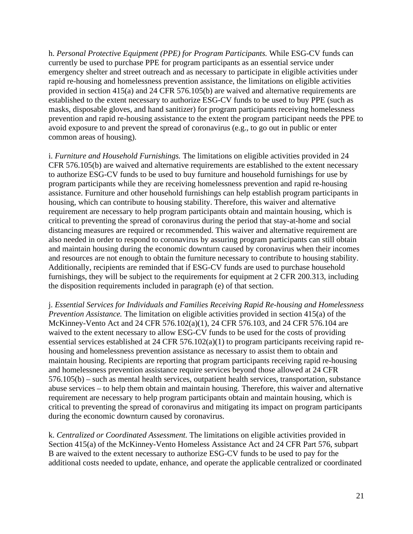h. *Personal Protective Equipment (PPE) for Program Participants.* While ESG-CV funds can currently be used to purchase PPE for program participants as an essential service under emergency shelter and street outreach and as necessary to participate in eligible activities under rapid re-housing and homelessness prevention assistance, the limitations on eligible activities provided in section 415(a) and 24 CFR 576.105(b) are waived and alternative requirements are established to the extent necessary to authorize ESG-CV funds to be used to buy PPE (such as masks, disposable gloves, and hand sanitizer) for program participants receiving homelessness prevention and rapid re-housing assistance to the extent the program participant needs the PPE to avoid exposure to and prevent the spread of coronavirus (e.g., to go out in public or enter common areas of housing).

i. *Furniture and Household Furnishings.* The limitations on eligible activities provided in 24 CFR 576.105(b) are waived and alternative requirements are established to the extent necessary to authorize ESG-CV funds to be used to buy furniture and household furnishings for use by program participants while they are receiving homelessness prevention and rapid re-housing assistance. Furniture and other household furnishings can help establish program participants in housing, which can contribute to housing stability. Therefore, this waiver and alternative requirement are necessary to help program participants obtain and maintain housing, which is critical to preventing the spread of coronavirus during the period that stay-at-home and social distancing measures are required or recommended. This waiver and alternative requirement are also needed in order to respond to coronavirus by assuring program participants can still obtain and maintain housing during the economic downturn caused by coronavirus when their incomes and resources are not enough to obtain the furniture necessary to contribute to housing stability. Additionally, recipients are reminded that if ESG-CV funds are used to purchase household furnishings, they will be subject to the requirements for equipment at 2 CFR 200.313, including the disposition requirements included in paragraph (e) of that section.

j. *Essential Services for Individuals and Families Receiving Rapid Re-housing and Homelessness Prevention Assistance.* The limitation on eligible activities provided in section 415(a) of the McKinney-Vento Act and 24 CFR 576.102(a)(1), 24 CFR 576.103, and 24 CFR 576.104 are waived to the extent necessary to allow ESG-CV funds to be used for the costs of providing essential services established at 24 CFR 576.102(a)(1) to program participants receiving rapid rehousing and homelessness prevention assistance as necessary to assist them to obtain and maintain housing. Recipients are reporting that program participants receiving rapid re-housing and homelessness prevention assistance require services beyond those allowed at 24 CFR 576.105(b) – such as mental health services, outpatient health services, transportation, substance abuse services – to help them obtain and maintain housing. Therefore, this waiver and alternative requirement are necessary to help program participants obtain and maintain housing, which is critical to preventing the spread of coronavirus and mitigating its impact on program participants during the economic downturn caused by coronavirus.

k. *Centralized or Coordinated Assessment.* The limitations on eligible activities provided in Section 415(a) of the McKinney-Vento Homeless Assistance Act and 24 CFR Part 576, subpart B are waived to the extent necessary to authorize ESG-CV funds to be used to pay for the additional costs needed to update, enhance, and operate the applicable centralized or coordinated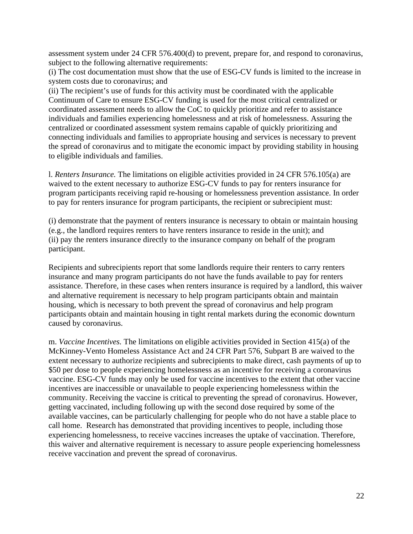assessment system under 24 CFR 576.400(d) to prevent, prepare for, and respond to coronavirus, subject to the following alternative requirements:

(i) The cost documentation must show that the use of ESG-CV funds is limited to the increase in system costs due to coronavirus; and

(ii) The recipient's use of funds for this activity must be coordinated with the applicable Continuum of Care to ensure ESG-CV funding is used for the most critical centralized or coordinated assessment needs to allow the CoC to quickly prioritize and refer to assistance individuals and families experiencing homelessness and at risk of homelessness. Assuring the centralized or coordinated assessment system remains capable of quickly prioritizing and connecting individuals and families to appropriate housing and services is necessary to prevent the spread of coronavirus and to mitigate the economic impact by providing stability in housing to eligible individuals and families.

l. *Renters Insurance.* The limitations on eligible activities provided in 24 CFR 576.105(a) are waived to the extent necessary to authorize ESG-CV funds to pay for renters insurance for program participants receiving rapid re-housing or homelessness prevention assistance. In order to pay for renters insurance for program participants, the recipient or subrecipient must:

(i) demonstrate that the payment of renters insurance is necessary to obtain or maintain housing (e.g., the landlord requires renters to have renters insurance to reside in the unit); and (ii) pay the renters insurance directly to the insurance company on behalf of the program participant.

Recipients and subrecipients report that some landlords require their renters to carry renters insurance and many program participants do not have the funds available to pay for renters assistance. Therefore, in these cases when renters insurance is required by a landlord, this waiver and alternative requirement is necessary to help program participants obtain and maintain housing, which is necessary to both prevent the spread of coronavirus and help program participants obtain and maintain housing in tight rental markets during the economic downturn caused by coronavirus.

m. *Vaccine Incentives.* The limitations on eligible activities provided in Section 415(a) of the McKinney-Vento Homeless Assistance Act and 24 CFR Part 576, Subpart B are waived to the extent necessary to authorize recipients and subrecipients to make direct, cash payments of up to \$50 per dose to people experiencing homelessness as an incentive for receiving a coronavirus vaccine. ESG-CV funds may only be used for vaccine incentives to the extent that other vaccine incentives are inaccessible or unavailable to people experiencing homelessness within the community. Receiving the vaccine is critical to preventing the spread of coronavirus. However, getting vaccinated, including following up with the second dose required by some of the available vaccines, can be particularly challenging for people who do not have a stable place to call home. Research has demonstrated that providing incentives to people, including those experiencing homelessness, to receive vaccines increases the uptake of vaccination. Therefore, this waiver and alternative requirement is necessary to assure people experiencing homelessness receive vaccination and prevent the spread of coronavirus.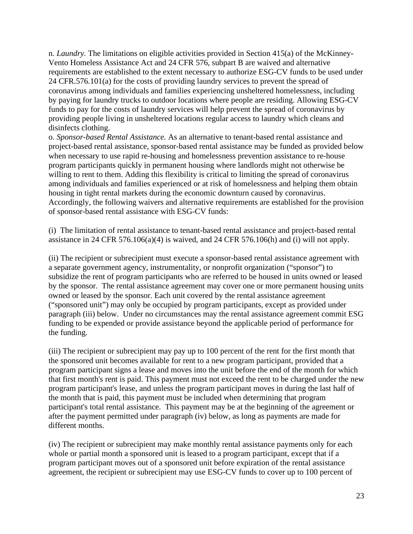n. *Laundry.* The limitations on eligible activities provided in Section 415(a) of the McKinney-Vento Homeless Assistance Act and 24 CFR 576, subpart B are waived and alternative requirements are established to the extent necessary to authorize ESG-CV funds to be used under 24 CFR.576.101(a) for the costs of providing laundry services to prevent the spread of coronavirus among individuals and families experiencing unsheltered homelessness, including by paying for laundry trucks to outdoor locations where people are residing. Allowing ESG-CV funds to pay for the costs of laundry services will help prevent the spread of coronavirus by providing people living in unsheltered locations regular access to laundry which cleans and disinfects clothing.

o. *Sponsor-based Rental Assistance.* As an alternative to tenant-based rental assistance and project-based rental assistance, sponsor-based rental assistance may be funded as provided below when necessary to use rapid re-housing and homelessness prevention assistance to re-house program participants quickly in permanent housing where landlords might not otherwise be willing to rent to them. Adding this flexibility is critical to limiting the spread of coronavirus among individuals and families experienced or at risk of homelessness and helping them obtain housing in tight rental markets during the economic downturn caused by coronavirus. Accordingly, the following waivers and alternative requirements are established for the provision of sponsor-based rental assistance with ESG-CV funds:

(i) The limitation of rental assistance to tenant-based rental assistance and project-based rental assistance in 24 CFR 576.106(a)(4) is waived, and 24 CFR 576.106(h) and (i) will not apply.

(ii) The recipient or subrecipient must execute a sponsor-based rental assistance agreement with a separate government agency, instrumentality, or nonprofit organization ("sponsor") to subsidize the rent of program participants who are referred to be housed in units owned or leased by the sponsor. The rental assistance agreement may cover one or more permanent housing units owned or leased by the sponsor. Each unit covered by the rental assistance agreement ("sponsored unit") may only be occupied by program participants, except as provided under paragraph (iii) below. Under no circumstances may the rental assistance agreement commit ESG funding to be expended or provide assistance beyond the applicable period of performance for the funding.

(iii) The recipient or subrecipient may pay up to 100 percent of the rent for the first month that the sponsored unit becomes available for rent to a new program participant, provided that a program participant signs a lease and moves into the unit before the end of the month for which that first month's rent is paid. This payment must not exceed the rent to be charged under the new program participant's lease, and unless the program participant moves in during the last half of the month that is paid, this payment must be included when determining that program participant's total rental assistance. This payment may be at the beginning of the agreement or after the payment permitted under paragraph (iv) below, as long as payments are made for different months.

(iv) The recipient or subrecipient may make monthly rental assistance payments only for each whole or partial month a sponsored unit is leased to a program participant, except that if a program participant moves out of a sponsored unit before expiration of the rental assistance agreement, the recipient or subrecipient may use ESG-CV funds to cover up to 100 percent of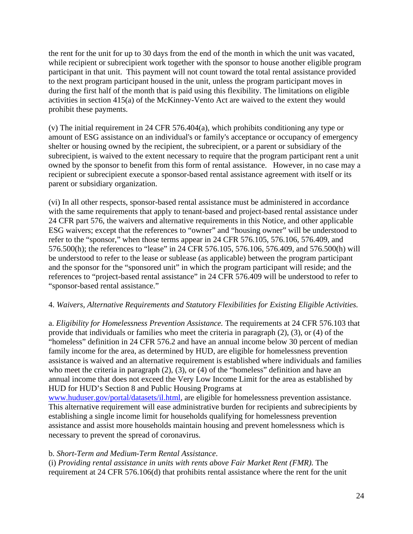the rent for the unit for up to 30 days from the end of the month in which the unit was vacated, while recipient or subrecipient work together with the sponsor to house another eligible program participant in that unit. This payment will not count toward the total rental assistance provided to the next program participant housed in the unit, unless the program participant moves in during the first half of the month that is paid using this flexibility. The limitations on eligible activities in section 415(a) of the McKinney-Vento Act are waived to the extent they would prohibit these payments.

(v) The initial requirement in 24 CFR 576.404(a), which prohibits conditioning any type or amount of ESG assistance on an individual's or family's acceptance or occupancy of emergency shelter or housing owned by the recipient, the subrecipient, or a parent or subsidiary of the subrecipient, is waived to the extent necessary to require that the program participant rent a unit owned by the sponsor to benefit from this form of rental assistance. However, in no case may a recipient or subrecipient execute a sponsor-based rental assistance agreement with itself or its parent or subsidiary organization.

(vi) In all other respects, sponsor-based rental assistance must be administered in accordance with the same requirements that apply to tenant-based and project-based rental assistance under 24 CFR part 576, the waivers and alternative requirements in this Notice, and other applicable ESG waivers; except that the references to "owner" and "housing owner" will be understood to refer to the "sponsor," when those terms appear in 24 CFR 576.105, 576.106, 576.409, and 576.500(h); the references to "lease" in 24 CFR 576.105, 576.106, 576.409, and 576.500(h) will be understood to refer to the lease or sublease (as applicable) between the program participant and the sponsor for the "sponsored unit" in which the program participant will reside; and the references to "project-based rental assistance" in 24 CFR 576.409 will be understood to refer to "sponsor-based rental assistance."

### 4. *Waivers, Alternative Requirements and Statutory Flexibilities for Existing Eligible Activities.*

a. *Eligibility for Homelessness Prevention Assistance.* The requirements at 24 CFR 576.103 that provide that individuals or families who meet the criteria in paragraph (2), (3), or (4) of the "homeless" definition in 24 CFR 576.2 and have an annual income below 30 percent of median family income for the area, as determined by HUD, are eligible for homelessness prevention assistance is waived and an alternative requirement is established where individuals and families who meet the criteria in paragraph (2), (3), or (4) of the "homeless" definition and have an annual income that does not exceed the Very Low Income Limit for the area as established by HUD for HUD's Section 8 and Public Housing Programs at

[www.huduser.gov/portal/datasets/il.html,](http://www.huduser.gov/portal/datasets/il.html) are eligible for homelessness prevention assistance. This alternative requirement will ease administrative burden for recipients and subrecipients by establishing a single income limit for households qualifying for homelessness prevention assistance and assist more households maintain housing and prevent homelessness which is necessary to prevent the spread of coronavirus.

### b. *Short-Term and Medium-Term Rental Assistance*.

(i) *Providing rental assistance in units with rents above Fair Market Rent (FMR).* The requirement at 24 CFR 576.106(d) that prohibits rental assistance where the rent for the unit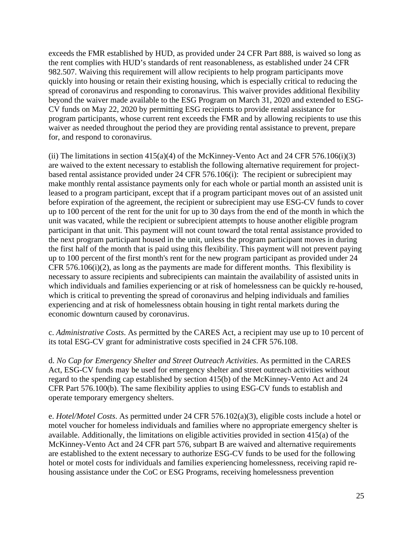exceeds the FMR established by HUD, as provided under 24 CFR Part 888, is waived so long as the rent complies with HUD's standards of rent reasonableness, as established under 24 CFR 982.507. Waiving this requirement will allow recipients to help program participants move quickly into housing or retain their existing housing, which is especially critical to reducing the spread of coronavirus and responding to coronavirus. This waiver provides additional flexibility beyond the waiver made available to the ESG Program on March 31, 2020 and extended to ESG-CV funds on May 22, 2020 by permitting ESG recipients to provide rental assistance for program participants, whose current rent exceeds the FMR and by allowing recipients to use this waiver as needed throughout the period they are providing rental assistance to prevent, prepare for, and respond to coronavirus.

(ii) The limitations in section  $415(a)(4)$  of the McKinney-Vento Act and 24 CFR 576.106(i)(3) are waived to the extent necessary to establish the following alternative requirement for projectbased rental assistance provided under 24 CFR 576.106(i): The recipient or subrecipient may make monthly rental assistance payments only for each whole or partial month an assisted unit is leased to a program participant, except that if a program participant moves out of an assisted unit before expiration of the agreement, the recipient or subrecipient may use ESG-CV funds to cover up to 100 percent of the rent for the unit for up to 30 days from the end of the month in which the unit was vacated, while the recipient or subrecipient attempts to house another eligible program participant in that unit. This payment will not count toward the total rental assistance provided to the next program participant housed in the unit, unless the program participant moves in during the first half of the month that is paid using this flexibility. This payment will not prevent paying up to 100 percent of the first month's rent for the new program participant as provided under 24 CFR 576.106(i)(2), as long as the payments are made for different months. This flexibility is necessary to assure recipients and subrecipients can maintain the availability of assisted units in which individuals and families experiencing or at risk of homelessness can be quickly re-housed, which is critical to preventing the spread of coronavirus and helping individuals and families experiencing and at risk of homelessness obtain housing in tight rental markets during the economic downturn caused by coronavirus.

c. *Administrative Costs*. As permitted by the CARES Act, a recipient may use up to 10 percent of its total ESG-CV grant for administrative costs specified in 24 CFR 576.108.

d. *No Cap for Emergency Shelter and Street Outreach Activities*. As permitted in the CARES Act, ESG-CV funds may be used for emergency shelter and street outreach activities without regard to the spending cap established by section 415(b) of the McKinney-Vento Act and 24 CFR Part 576.100(b). The same flexibility applies to using ESG-CV funds to establish and operate temporary emergency shelters.

e. *Hotel/Motel Costs*. As permitted under 24 CFR 576.102(a)(3), eligible costs include a hotel or motel voucher for homeless individuals and families where no appropriate emergency shelter is available. Additionally, the limitations on eligible activities provided in section 415(a) of the McKinney-Vento Act and 24 CFR part 576, subpart B are waived and alternative requirements are established to the extent necessary to authorize ESG-CV funds to be used for the following hotel or motel costs for individuals and families experiencing homelessness, receiving rapid rehousing assistance under the CoC or ESG Programs, receiving homelessness prevention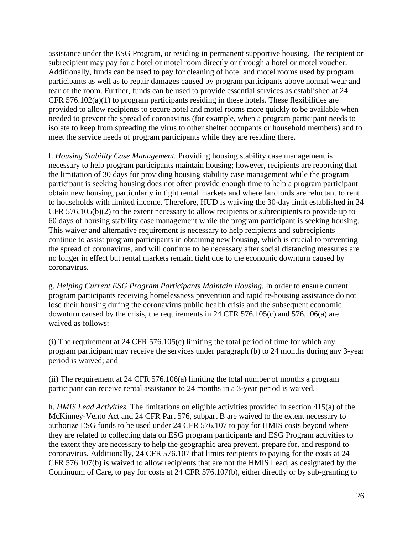assistance under the ESG Program, or residing in permanent supportive housing. The recipient or subrecipient may pay for a hotel or motel room directly or through a hotel or motel voucher. Additionally, funds can be used to pay for cleaning of hotel and motel rooms used by program participants as well as to repair damages caused by program participants above normal wear and tear of the room. Further, funds can be used to provide essential services as established at 24 CFR 576.102(a)(1) to program participants residing in these hotels. These flexibilities are provided to allow recipients to secure hotel and motel rooms more quickly to be available when needed to prevent the spread of coronavirus (for example, when a program participant needs to isolate to keep from spreading the virus to other shelter occupants or household members) and to meet the service needs of program participants while they are residing there.

f. *Housing Stability Case Management.* Providing housing stability case management is necessary to help program participants maintain housing; however, recipients are reporting that the limitation of 30 days for providing housing stability case management while the program participant is seeking housing does not often provide enough time to help a program participant obtain new housing, particularly in tight rental markets and where landlords are reluctant to rent to households with limited income. Therefore, HUD is waiving the 30-day limit established in 24 CFR 576.105(b)(2) to the extent necessary to allow recipients or subrecipients to provide up to 60 days of housing stability case management while the program participant is seeking housing. This waiver and alternative requirement is necessary to help recipients and subrecipients continue to assist program participants in obtaining new housing, which is crucial to preventing the spread of coronavirus, and will continue to be necessary after social distancing measures are no longer in effect but rental markets remain tight due to the economic downturn caused by coronavirus.

g. *Helping Current ESG Program Participants Maintain Housing.* In order to ensure current program participants receiving homelessness prevention and rapid re-housing assistance do not lose their housing during the coronavirus public health crisis and the subsequent economic downturn caused by the crisis, the requirements in 24 CFR 576.105(c) and 576.106(a) are waived as follows:

(i) The requirement at 24 CFR 576.105(c) limiting the total period of time for which any program participant may receive the services under paragraph (b) to 24 months during any 3-year period is waived; and

(ii) The requirement at 24 CFR 576.106(a) limiting the total number of months a program participant can receive rental assistance to 24 months in a 3-year period is waived.

h. *HMIS Lead Activities.* The limitations on eligible activities provided in section 415(a) of the McKinney-Vento Act and 24 CFR Part 576, subpart B are waived to the extent necessary to authorize ESG funds to be used under 24 CFR 576.107 to pay for HMIS costs beyond where they are related to collecting data on ESG program participants and ESG Program activities to the extent they are necessary to help the geographic area prevent, prepare for, and respond to coronavirus. Additionally, 24 CFR 576.107 that limits recipients to paying for the costs at 24 CFR 576.107(b) is waived to allow recipients that are not the HMIS Lead, as designated by the Continuum of Care, to pay for costs at 24 CFR 576.107(b), either directly or by sub-granting to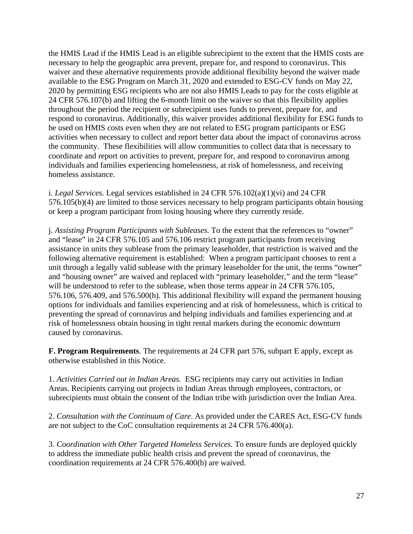the HMIS Lead if the HMIS Lead is an eligible subrecipient to the extent that the HMIS costs are necessary to help the geographic area prevent, prepare for, and respond to coronavirus. This waiver and these alternative requirements provide additional flexibility beyond the waiver made available to the ESG Program on March 31, 2020 and extended to ESG-CV funds on May 22, 2020 by permitting ESG recipients who are not also HMIS Leads to pay for the costs eligible at 24 CFR 576.107(b) and lifting the 6-month limit on the waiver so that this flexibility applies throughout the period the recipient or subrecipient uses funds to prevent, prepare for, and respond to coronavirus. Additionally, this waiver provides additional flexibility for ESG funds to be used on HMIS costs even when they are not related to ESG program participants or ESG activities when necessary to collect and report better data about the impact of coronavirus across the community. These flexibilities will allow communities to collect data that is necessary to coordinate and report on activities to prevent, prepare for, and respond to coronavirus among individuals and families experiencing homelessness, at risk of homelessness, and receiving homeless assistance.

i. *Legal Services.* Legal services established in 24 CFR 576.102(a)(1)(vi) and 24 CFR 576.105(b)(4) are limited to those services necessary to help program participants obtain housing or keep a program participant from losing housing where they currently reside.

j. *Assisting Program Participants with Subleases.* To the extent that the references to "owner" and "lease" in 24 CFR 576.105 and 576.106 restrict program participants from receiving assistance in units they sublease from the primary leaseholder, that restriction is waived and the following alternative requirement is established: When a program participant chooses to rent a unit through a legally valid sublease with the primary leaseholder for the unit, the terms "owner" and "housing owner" are waived and replaced with "primary leaseholder," and the term "lease" will be understood to refer to the sublease, when those terms appear in 24 CFR 576.105, 576.106, 576.409, and 576.500(h). This additional flexibility will expand the permanent housing options for individuals and families experiencing and at risk of homelessness, which is critical to preventing the spread of coronavirus and helping individuals and families experiencing and at risk of homelessness obtain housing in tight rental markets during the economic downturn caused by coronavirus.

**F. Program Requirements**. The requirements at 24 CFR part 576, subpart E apply, except as otherwise established in this Notice.

1. *Activities Carried out in Indian Areas.* ESG recipients may carry out activities in Indian Areas. Recipients carrying out projects in Indian Areas through employees, contractors, or subrecipients must obtain the consent of the Indian tribe with jurisdiction over the Indian Area.

2. *Consultation with the Continuum of Care*. As provided under the CARES Act, ESG-CV funds are not subject to the CoC consultation requirements at 24 CFR 576.400(a).

3. *Coordination with Other Targeted Homeless Services.* To ensure funds are deployed quickly to address the immediate public health crisis and prevent the spread of coronavirus, the coordination requirements at 24 CFR 576.400(b) are waived.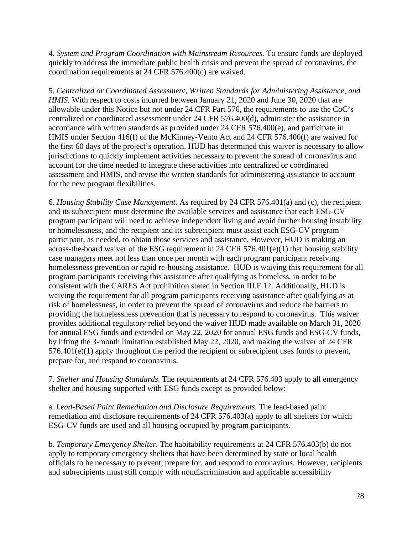4. *System and Program Coordination with Mainstream Resources.* To ensure funds are deployed quickly to address the immediate public health crisis and prevent the spread of coronavirus, the coordination requirements at 24 CFR 576.400(c) are waived.

5. *Centralized or Coordinated Assessment, Written Standards for Administering Assistance, and HMIS.* With respect to costs incurred between January 21, 2020 and June 30, 2020 that are allowable under this Notice but not under 24 CFR Part 576, the requirements to use the CoC's centralized or coordinated assessment under 24 CFR 576.400(d), administer the assistance in accordance with written standards as provided under 24 CFR 576.400(e), and participate in HMIS under Section 416(f) of the McKinney-Vento Act and 24 CFR 576.400(f) are waived for the first 60 days of the project's operation. HUD has determined this waiver is necessary to allow jurisdictions to quickly implement activities necessary to prevent the spread of coronavirus and account for the time needed to integrate these activities into centralized or coordinated assessment and HMIS, and revise the written standards for administering assistance to account for the new program flexibilities.

6. *Housing Stability Case Management*. As required by 24 CFR 576.401(a) and (c), the recipient and its subrecipient must determine the available services and assistance that each ESG-CV program participant will need to achieve independent living and avoid further housing instability or homelessness, and the recipient and its subrecipient must assist each ESG-CV program participant, as needed, to obtain those services and assistance. However, HUD is making an across-the-board waiver of the ESG requirement in 24 CFR 576.401(e)(1) that housing stability case managers meet not less than once per month with each program participant receiving homelessness prevention or rapid re-housing assistance. HUD is waiving this requirement for all program participants receiving this assistance after qualifying as homeless, in order to be consistent with the CARES Act prohibition stated in Section III.F.12. Additionally, HUD is waiving the requirement for all program participants receiving assistance after qualifying as at risk of homelessness, in order to prevent the spread of coronavirus and reduce the barriers to providing the homelessness prevention that is necessary to respond to coronavirus. This waiver provides additional regulatory relief beyond the waiver HUD made available on March 31, 2020 for annual ESG funds and extended on May 22, 2020 for annual ESG funds and ESG-CV funds, by lifting the 3-month limitation established May 22, 2020, and making the waiver of 24 CFR 576.401(e)(1) apply throughout the period the recipient or subrecipient uses funds to prevent, prepare for, and respond to coronavirus.

7. *Shelter and Housing Standards*. The requirements at 24 CFR 576.403 apply to all emergency shelter and housing supported with ESG funds except as provided below:

a. *Lead-Based Paint Remediation and Disclosure Requirements.* The lead-based paint remediation and disclosure requirements of 24 CFR 576.403(a) apply to all shelters for which ESG-CV funds are used and all housing occupied by program participants.

b. *Temporary Emergency Shelter.* The habitability requirements at 24 CFR 576.403(b) do not apply to temporary emergency shelters that have been determined by state or local health officials to be necessary to prevent, prepare for, and respond to coronavirus. However, recipients and subrecipients must still comply with nondiscrimination and applicable accessibility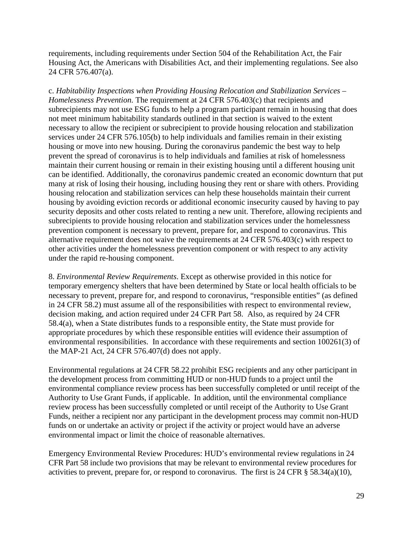requirements, including requirements under Section 504 of the Rehabilitation Act, the Fair Housing Act, the Americans with Disabilities Act, and their implementing regulations. See also 24 CFR 576.407(a).

c. *Habitability Inspections when Providing Housing Relocation and Stabilization Services – Homelessness Prevention.* The requirement at 24 CFR 576.403(c) that recipients and subrecipients may not use ESG funds to help a program participant remain in housing that does not meet minimum habitability standards outlined in that section is waived to the extent necessary to allow the recipient or subrecipient to provide housing relocation and stabilization services under 24 CFR 576.105(b) to help individuals and families remain in their existing housing or move into new housing. During the coronavirus pandemic the best way to help prevent the spread of coronavirus is to help individuals and families at risk of homelessness maintain their current housing or remain in their existing housing until a different housing unit can be identified. Additionally, the coronavirus pandemic created an economic downturn that put many at risk of losing their housing, including housing they rent or share with others. Providing housing relocation and stabilization services can help these households maintain their current housing by avoiding eviction records or additional economic insecurity caused by having to pay security deposits and other costs related to renting a new unit. Therefore, allowing recipients and subrecipients to provide housing relocation and stabilization services under the homelessness prevention component is necessary to prevent, prepare for, and respond to coronavirus. This alternative requirement does not waive the requirements at 24 CFR 576.403(c) with respect to other activities under the homelessness prevention component or with respect to any activity under the rapid re-housing component.

8. *Environmental Review Requirements*. Except as otherwise provided in this notice for temporary emergency shelters that have been determined by State or local health officials to be necessary to prevent, prepare for, and respond to coronavirus, "responsible entities" (as defined in 24 CFR 58.2) must assume all of the responsibilities with respect to environmental review, decision making, and action required under 24 CFR Part 58. Also, as required by 24 CFR 58.4(a), when a State distributes funds to a responsible entity, the State must provide for appropriate procedures by which these responsible entities will evidence their assumption of environmental responsibilities. In accordance with these requirements and section 100261(3) of the MAP-21 Act, 24 CFR 576.407(d) does not apply.

Environmental regulations at 24 CFR 58.22 prohibit ESG recipients and any other participant in the development process from committing HUD or non-HUD funds to a project until the environmental compliance review process has been successfully completed or until receipt of the Authority to Use Grant Funds, if applicable. In addition, until the environmental compliance review process has been successfully completed or until receipt of the Authority to Use Grant Funds, neither a recipient nor any participant in the development process may commit non-HUD funds on or undertake an activity or project if the activity or project would have an adverse environmental impact or limit the choice of reasonable alternatives.

Emergency Environmental Review Procedures: HUD's environmental review regulations in 24 CFR Part 58 include two provisions that may be relevant to environmental review procedures for activities to prevent, prepare for, or respond to coronavirus. The first is 24 CFR § 58.34(a)(10),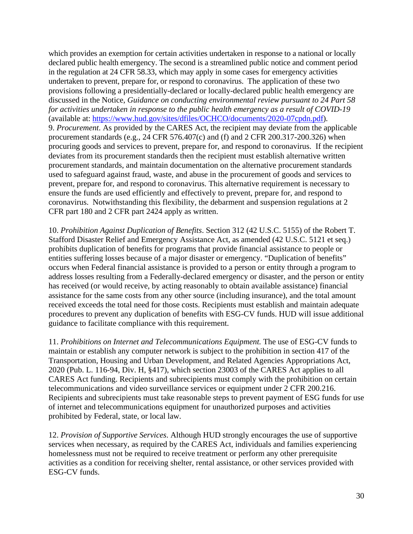which provides an exemption for certain activities undertaken in response to a national or locally declared public health emergency. The second is a streamlined public notice and comment period in the regulation at 24 CFR 58.33, which may apply in some cases for emergency activities undertaken to prevent, prepare for, or respond to coronavirus. The application of these two provisions following a presidentially-declared or locally-declared public health emergency are discussed in the Notice, *Guidance on conducting environmental review pursuant to 24 Part 58 for activities undertaken in response to the public health emergency as a result of COVID-19* (available at: [https://www.hud.gov/sites/dfiles/OCHCO/documents/2020-07cpdn.pdf\)](https://www.hud.gov/sites/dfiles/OCHCO/documents/2020-07cpdn.pdf). 9. *Procurement*. As provided by the CARES Act, the recipient may deviate from the applicable procurement standards (e.g., 24 CFR 576.407(c) and (f) and 2 CFR 200.317-200.326) when procuring goods and services to prevent, prepare for, and respond to coronavirus. If the recipient deviates from its procurement standards then the recipient must establish alternative written procurement standards, and maintain documentation on the alternative procurement standards used to safeguard against fraud, waste, and abuse in the procurement of goods and services to prevent, prepare for, and respond to coronavirus. This alternative requirement is necessary to ensure the funds are used efficiently and effectively to prevent, prepare for, and respond to coronavirus. Notwithstanding this flexibility, the debarment and suspension regulations at 2 CFR part 180 and 2 CFR part 2424 apply as written.

10. *Prohibition Against Duplication of Benefits*. Section 312 (42 U.S.C. 5155) of the Robert T. Stafford Disaster Relief and Emergency Assistance Act, as amended (42 U.S.C. 5121 et seq.) prohibits duplication of benefits for programs that provide financial assistance to people or entities suffering losses because of a major disaster or emergency. "Duplication of benefits" occurs when Federal financial assistance is provided to a person or entity through a program to address losses resulting from a Federally-declared emergency or disaster, and the person or entity has received (or would receive, by acting reasonably to obtain available assistance) financial assistance for the same costs from any other source (including insurance), and the total amount received exceeds the total need for those costs. Recipients must establish and maintain adequate procedures to prevent any duplication of benefits with ESG-CV funds. HUD will issue additional guidance to facilitate compliance with this requirement.

11. *Prohibitions on Internet and Telecommunications Equipment.* The use of ESG-CV funds to maintain or establish any computer network is subject to the prohibition in section 417 of the Transportation, Housing and Urban Development, and Related Agencies Appropriations Act, 2020 (Pub. L. 116-94, Div. H, §417), which section 23003 of the CARES Act applies to all CARES Act funding. Recipients and subrecipients must comply with the prohibition on certain telecommunications and video surveillance services or equipment under 2 CFR 200.216. Recipients and subrecipients must take reasonable steps to prevent payment of ESG funds for use of internet and telecommunications equipment for unauthorized purposes and activities prohibited by Federal, state, or local law.

12. *Provision of Supportive Services*. Although HUD strongly encourages the use of supportive services when necessary, as required by the CARES Act, individuals and families experiencing homelessness must not be required to receive treatment or perform any other prerequisite activities as a condition for receiving shelter, rental assistance, or other services provided with ESG-CV funds.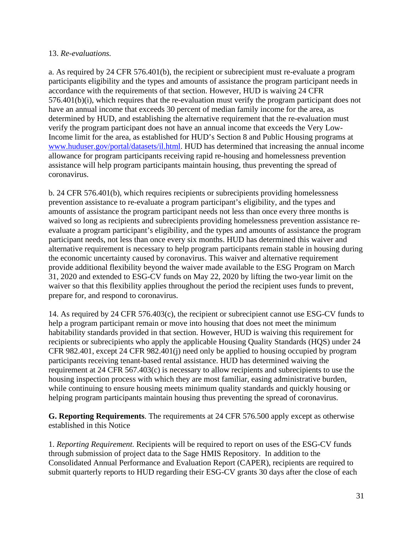#### 13. *Re-evaluations.*

a. As required by 24 CFR 576.401(b), the recipient or subrecipient must re-evaluate a program participants eligibility and the types and amounts of assistance the program participant needs in accordance with the requirements of that section. However, HUD is waiving 24 CFR 576.401(b)(i), which requires that the re-evaluation must verify the program participant does not have an annual income that exceeds 30 percent of median family income for the area, as determined by HUD, and establishing the alternative requirement that the re-evaluation must verify the program participant does not have an annual income that exceeds the Very Low-Income limit for the area, as established for HUD's Section 8 and Public Housing programs at [www.huduser.gov/portal/datasets/il.html.](http://www.huduser.gov/portal/datasets/il.html) HUD has determined that increasing the annual income allowance for program participants receiving rapid re-housing and homelessness prevention assistance will help program participants maintain housing, thus preventing the spread of coronavirus.

b. 24 CFR 576.401(b), which requires recipients or subrecipients providing homelessness prevention assistance to re-evaluate a program participant's eligibility, and the types and amounts of assistance the program participant needs not less than once every three months is waived so long as recipients and subrecipients providing homelessness prevention assistance reevaluate a program participant's eligibility, and the types and amounts of assistance the program participant needs, not less than once every six months. HUD has determined this waiver and alternative requirement is necessary to help program participants remain stable in housing during the economic uncertainty caused by coronavirus. This waiver and alternative requirement provide additional flexibility beyond the waiver made available to the ESG Program on March 31, 2020 and extended to ESG-CV funds on May 22, 2020 by lifting the two-year limit on the waiver so that this flexibility applies throughout the period the recipient uses funds to prevent, prepare for, and respond to coronavirus.

14. As required by 24 CFR 576.403(c), the recipient or subrecipient cannot use ESG-CV funds to help a program participant remain or move into housing that does not meet the minimum habitability standards provided in that section. However, HUD is waiving this requirement for recipients or subrecipients who apply the applicable Housing Quality Standards (HQS) under 24 CFR 982.401, except 24 CFR 982.401(j) need only be applied to housing occupied by program participants receiving tenant-based rental assistance. HUD has determined waiving the requirement at 24 CFR 567.403(c) is necessary to allow recipients and subrecipients to use the housing inspection process with which they are most familiar, easing administrative burden, while continuing to ensure housing meets minimum quality standards and quickly housing or helping program participants maintain housing thus preventing the spread of coronavirus.

**G. Reporting Requirements**. The requirements at 24 CFR 576.500 apply except as otherwise established in this Notice

1. *Reporting Requirement.* Recipients will be required to report on uses of the ESG-CV funds through submission of project data to the Sage HMIS Repository. In addition to the Consolidated Annual Performance and Evaluation Report (CAPER), recipients are required to submit quarterly reports to HUD regarding their ESG-CV grants 30 days after the close of each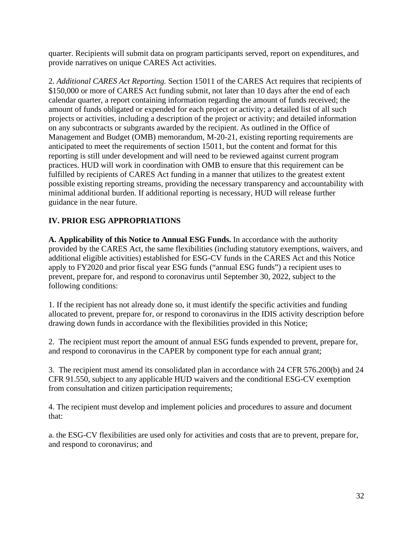quarter. Recipients will submit data on program participants served, report on expenditures, and provide narratives on unique CARES Act activities.

2. *Additional CARES Act Reporting.* Section 15011 of the CARES Act requires that recipients of \$150,000 or more of CARES Act funding submit, not later than 10 days after the end of each calendar quarter, a report containing information regarding the amount of funds received; the amount of funds obligated or expended for each project or activity; a detailed list of all such projects or activities, including a description of the project or activity; and detailed information on any subcontracts or subgrants awarded by the recipient. As outlined in the Office of Management and Budget (OMB) memorandum, M-20-21, existing reporting requirements are anticipated to meet the requirements of section 15011, but the content and format for this reporting is still under development and will need to be reviewed against current program practices. HUD will work in coordination with OMB to ensure that this requirement can be fulfilled by recipients of CARES Act funding in a manner that utilizes to the greatest extent possible existing reporting streams, providing the necessary transparency and accountability with minimal additional burden. If additional reporting is necessary, HUD will release further guidance in the near future.

## **IV. PRIOR ESG APPROPRIATIONS**

**A. Applicability of this Notice to Annual ESG Funds.** In accordance with the authority provided by the CARES Act, the same flexibilities (including statutory exemptions, waivers, and additional eligible activities) established for ESG-CV funds in the CARES Act and this Notice apply to FY2020 and prior fiscal year ESG funds ("annual ESG funds") a recipient uses to prevent, prepare for, and respond to coronavirus until September 30, 2022, subject to the following conditions:

1. If the recipient has not already done so, it must identify the specific activities and funding allocated to prevent, prepare for, or respond to coronavirus in the IDIS activity description before drawing down funds in accordance with the flexibilities provided in this Notice;

2. The recipient must report the amount of annual ESG funds expended to prevent, prepare for, and respond to coronavirus in the CAPER by component type for each annual grant;

3. The recipient must amend its consolidated plan in accordance with 24 CFR 576.200(b) and 24 CFR 91.550, subject to any applicable HUD waivers and the conditional ESG-CV exemption from consultation and citizen participation requirements;

4. The recipient must develop and implement policies and procedures to assure and document that:

a. the ESG-CV flexibilities are used only for activities and costs that are to prevent, prepare for, and respond to coronavirus; and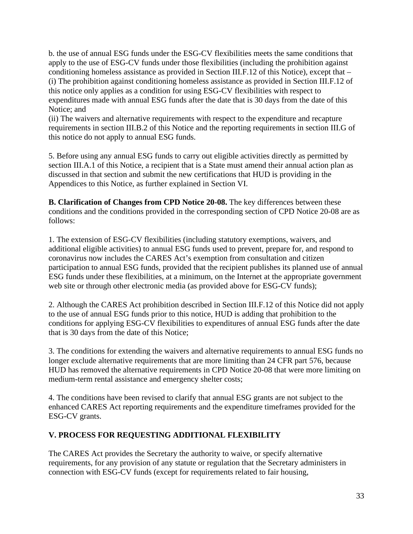b. the use of annual ESG funds under the ESG-CV flexibilities meets the same conditions that apply to the use of ESG-CV funds under those flexibilities (including the prohibition against conditioning homeless assistance as provided in Section III.F.12 of this Notice), except that – (i) The prohibition against conditioning homeless assistance as provided in Section III.F.12 of this notice only applies as a condition for using ESG-CV flexibilities with respect to expenditures made with annual ESG funds after the date that is 30 days from the date of this Notice; and

(ii) The waivers and alternative requirements with respect to the expenditure and recapture requirements in section III.B.2 of this Notice and the reporting requirements in section III.G of this notice do not apply to annual ESG funds.

5. Before using any annual ESG funds to carry out eligible activities directly as permitted by section III.A.1 of this Notice, a recipient that is a State must amend their annual action plan as discussed in that section and submit the new certifications that HUD is providing in the Appendices to this Notice, as further explained in Section VI.

**B. Clarification of Changes from CPD Notice 20-08.** The key differences between these conditions and the conditions provided in the corresponding section of CPD Notice 20-08 are as follows:

1. The extension of ESG-CV flexibilities (including statutory exemptions, waivers, and additional eligible activities) to annual ESG funds used to prevent, prepare for, and respond to coronavirus now includes the CARES Act's exemption from consultation and citizen participation to annual ESG funds, provided that the recipient publishes its planned use of annual ESG funds under these flexibilities, at a minimum, on the Internet at the appropriate government web site or through other electronic media (as provided above for ESG-CV funds);

2. Although the CARES Act prohibition described in Section III.F.12 of this Notice did not apply to the use of annual ESG funds prior to this notice, HUD is adding that prohibition to the conditions for applying ESG-CV flexibilities to expenditures of annual ESG funds after the date that is 30 days from the date of this Notice;

3. The conditions for extending the waivers and alternative requirements to annual ESG funds no longer exclude alternative requirements that are more limiting than 24 CFR part 576, because HUD has removed the alternative requirements in CPD Notice 20-08 that were more limiting on medium-term rental assistance and emergency shelter costs;

4. The conditions have been revised to clarify that annual ESG grants are not subject to the enhanced CARES Act reporting requirements and the expenditure timeframes provided for the ESG-CV grants.

## **V. PROCESS FOR REQUESTING ADDITIONAL FLEXIBILITY**

The CARES Act provides the Secretary the authority to waive, or specify alternative requirements, for any provision of any statute or regulation that the Secretary administers in connection with ESG-CV funds (except for requirements related to fair housing,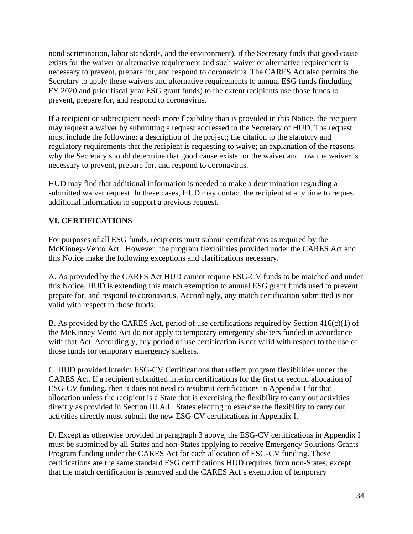nondiscrimination, labor standards, and the environment), if the Secretary finds that good cause exists for the waiver or alternative requirement and such waiver or alternative requirement is necessary to prevent, prepare for, and respond to coronavirus. The CARES Act also permits the Secretary to apply these waivers and alternative requirements to annual ESG funds (including FY 2020 and prior fiscal year ESG grant funds) to the extent recipients use those funds to prevent, prepare for, and respond to coronavirus.

If a recipient or subrecipient needs more flexibility than is provided in this Notice, the recipient may request a waiver by submitting a request addressed to the Secretary of HUD. The request must include the following: a description of the project; the citation to the statutory and regulatory requirements that the recipient is requesting to waive; an explanation of the reasons why the Secretary should determine that good cause exists for the waiver and how the waiver is necessary to prevent, prepare for, and respond to coronavirus.

HUD may find that additional information is needed to make a determination regarding a submitted waiver request. In these cases, HUD may contact the recipient at any time to request additional information to support a previous request.

## **VI. CERTIFICATIONS**

For purposes of all ESG funds, recipients must submit certifications as required by the McKinney-Vento Act. However, the program flexibilities provided under the CARES Act and this Notice make the following exceptions and clarifications necessary.

A. As provided by the CARES Act HUD cannot require ESG-CV funds to be matched and under this Notice, HUD is extending this match exemption to annual ESG grant funds used to prevent, prepare for, and respond to coronavirus. Accordingly, any match certification submitted is not valid with respect to those funds.

B. As provided by the CARES Act, period of use certifications required by Section  $416(c)(1)$  of the McKinney Vento Act do not apply to temporary emergency shelters funded in accordance with that Act. Accordingly, any period of use certification is not valid with respect to the use of those funds for temporary emergency shelters.

C. HUD provided Interim ESG-CV Certifications that reflect program flexibilities under the CARES Act. If a recipient submitted interim certifications for the first or second allocation of ESG-CV funding, then it does not need to resubmit certifications in Appendix I for that allocation unless the recipient is a State that is exercising the flexibility to carry out activities directly as provided in Section III.A.I. States electing to exercise the flexibility to carry out activities directly must submit the new ESG-CV certifications in Appendix I.

D. Except as otherwise provided in paragraph 3 above, the ESG-CV certifications in Appendix I must be submitted by all States and non-States applying to receive Emergency Solutions Grants Program funding under the CARES Act for each allocation of ESG-CV funding. These certifications are the same standard ESG certifications HUD requires from non-States, except that the match certification is removed and the CARES Act's exemption of temporary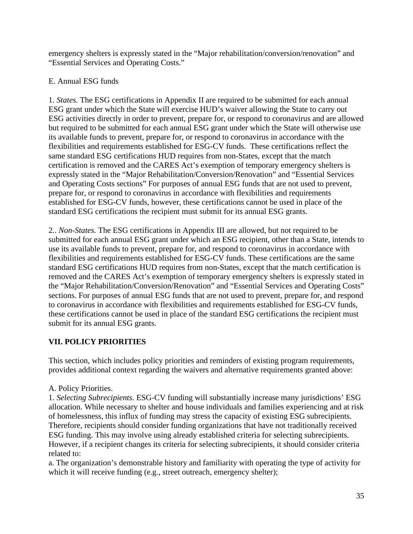emergency shelters is expressly stated in the "Major rehabilitation/conversion/renovation" and "Essential Services and Operating Costs."

### E. Annual ESG funds

1. *States.* The ESG certifications in Appendix II are required to be submitted for each annual ESG grant under which the State will exercise HUD's waiver allowing the State to carry out ESG activities directly in order to prevent, prepare for, or respond to coronavirus and are allowed but required to be submitted for each annual ESG grant under which the State will otherwise use its available funds to prevent, prepare for, or respond to coronavirus in accordance with the flexibilities and requirements established for ESG-CV funds. These certifications reflect the same standard ESG certifications HUD requires from non-States, except that the match certification is removed and the CARES Act's exemption of temporary emergency shelters is expressly stated in the "Major Rehabilitation/Conversion/Renovation" and "Essential Services and Operating Costs sections" For purposes of annual ESG funds that are not used to prevent, prepare for, or respond to coronavirus in accordance with flexibilities and requirements established for ESG-CV funds, however, these certifications cannot be used in place of the standard ESG certifications the recipient must submit for its annual ESG grants.

2.. *Non-States.* The ESG certifications in Appendix III are allowed, but not required to be submitted for each annual ESG grant under which an ESG recipient, other than a State, intends to use its available funds to prevent, prepare for, and respond to coronavirus in accordance with flexibilities and requirements established for ESG-CV funds. These certifications are the same standard ESG certifications HUD requires from non-States, except that the match certification is removed and the CARES Act's exemption of temporary emergency shelters is expressly stated in the "Major Rehabilitation/Conversion/Renovation" and "Essential Services and Operating Costs" sections. For purposes of annual ESG funds that are not used to prevent, prepare for, and respond to coronavirus in accordance with flexibilities and requirements established for ESG-CV funds, these certifications cannot be used in place of the standard ESG certifications the recipient must submit for its annual ESG grants.

# **VII. POLICY PRIORITIES**

This section, which includes policy priorities and reminders of existing program requirements, provides additional context regarding the waivers and alternative requirements granted above:

## A. Policy Priorities.

1. *Selecting Subrecipients.* ESG-CV funding will substantially increase many jurisdictions' ESG allocation. While necessary to shelter and house individuals and families experiencing and at risk of homelessness, this influx of funding may stress the capacity of existing ESG subrecipients. Therefore, recipients should consider funding organizations that have not traditionally received ESG funding. This may involve using already established criteria for selecting subrecipients. However, if a recipient changes its criteria for selecting subrecipients, it should consider criteria related to:

a. The organization's demonstrable history and familiarity with operating the type of activity for which it will receive funding (e.g., street outreach, emergency shelter);